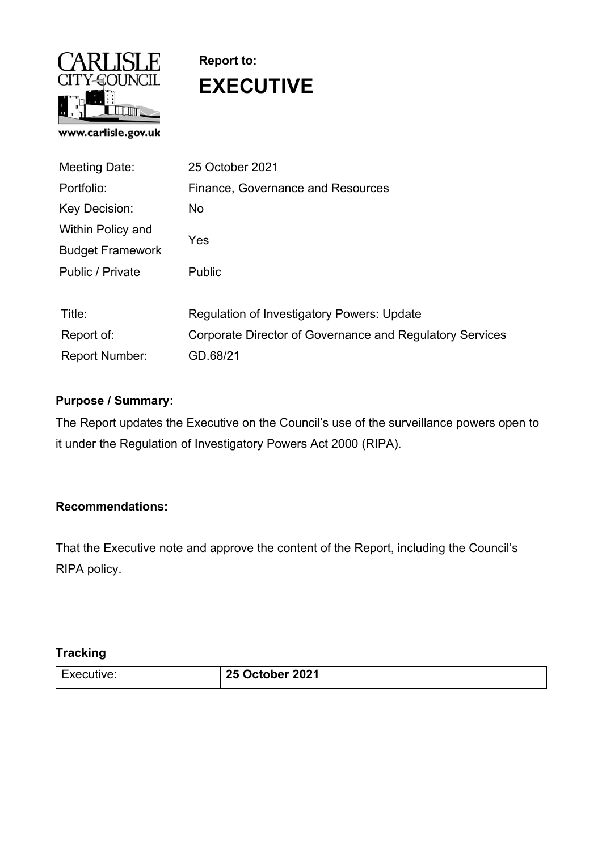

# **Report to: EXECUTIVE**

| Meeting Date:           | 25 October 2021                                          |
|-------------------------|----------------------------------------------------------|
| Portfolio:              | Finance, Governance and Resources                        |
| Key Decision:           | <b>No</b>                                                |
| Within Policy and       | Yes                                                      |
| <b>Budget Framework</b> |                                                          |
| Public / Private        | <b>Public</b>                                            |
|                         |                                                          |
| Title:                  | <b>Regulation of Investigatory Powers: Update</b>        |
| Report of:              | Corporate Director of Governance and Regulatory Services |
| <b>Report Number:</b>   | GD.68/21                                                 |

## **Purpose / Summary:**

The Report updates the Executive on the Council's use of the surveillance powers open to it under the Regulation of Investigatory Powers Act 2000 (RIPA).

## **Recommendations:**

That the Executive note and approve the content of the Report, including the Council's RIPA policy.

## **Tracking**

| $\overline{\phantom{0}}$<br>:utive:<br>►<br>ÐΓ | October 2021<br>$\mathbf{A}$ |
|------------------------------------------------|------------------------------|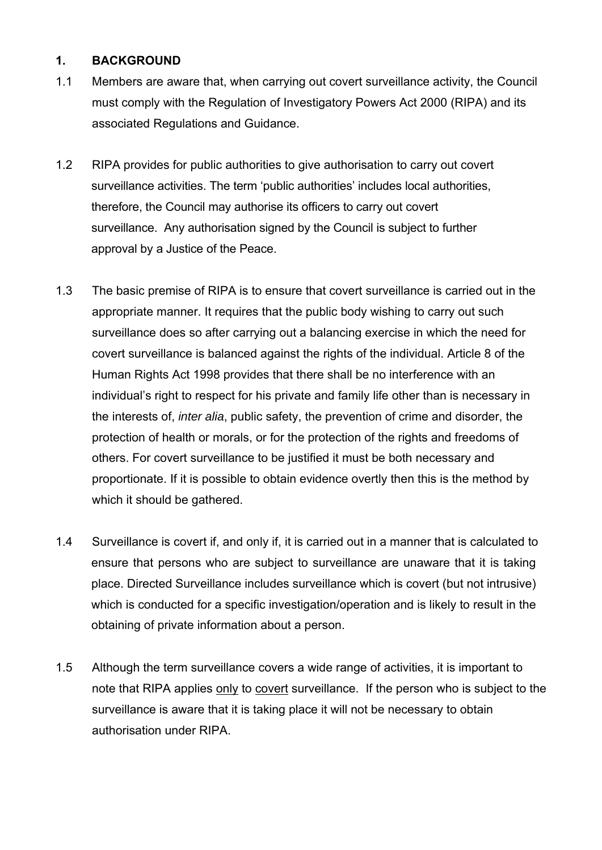### **1. BACKGROUND**

- 1.1 Members are aware that, when carrying out covert surveillance activity, the Council must comply with the Regulation of Investigatory Powers Act 2000 (RIPA) and its associated Regulations and Guidance.
- 1.2 RIPA provides for public authorities to give authorisation to carry out covert surveillance activities. The term 'public authorities' includes local authorities, therefore, the Council may authorise its officers to carry out covert surveillance. Any authorisation signed by the Council is subject to further approval by a Justice of the Peace.
- 1.3 The basic premise of RIPA is to ensure that covert surveillance is carried out in the appropriate manner. It requires that the public body wishing to carry out such surveillance does so after carrying out a balancing exercise in which the need for covert surveillance is balanced against the rights of the individual. Article 8 of the Human Rights Act 1998 provides that there shall be no interference with an individual's right to respect for his private and family life other than is necessary in the interests of, *inter alia*, public safety, the prevention of crime and disorder, the protection of health or morals, or for the protection of the rights and freedoms of others. For covert surveillance to be justified it must be both necessary and proportionate. If it is possible to obtain evidence overtly then this is the method by which it should be gathered.
- 1.4 Surveillance is covert if, and only if, it is carried out in a manner that is calculated to ensure that persons who are subject to surveillance are unaware that it is taking place. Directed Surveillance includes surveillance which is covert (but not intrusive) which is conducted for a specific investigation/operation and is likely to result in the obtaining of private information about a person.
- 1.5 Although the term surveillance covers a wide range of activities, it is important to note that RIPA applies only to covert surveillance. If the person who is subject to the surveillance is aware that it is taking place it will not be necessary to obtain authorisation under RIPA.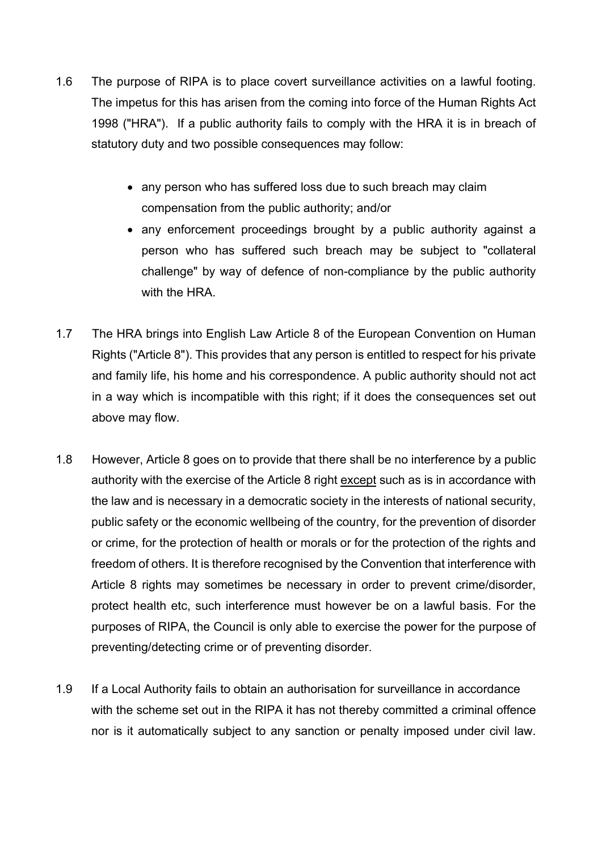- 1.6 The purpose of RIPA is to place covert surveillance activities on a lawful footing. The impetus for this has arisen from the coming into force of the Human Rights Act 1998 ("HRA"). If a public authority fails to comply with the HRA it is in breach of statutory duty and two possible consequences may follow:
	- any person who has suffered loss due to such breach may claim compensation from the public authority; and/or
	- any enforcement proceedings brought by a public authority against a person who has suffered such breach may be subject to "collateral challenge" by way of defence of non-compliance by the public authority with the HRA.
- 1.7 The HRA brings into English Law Article 8 of the European Convention on Human Rights ("Article 8"). This provides that any person is entitled to respect for his private and family life, his home and his correspondence. A public authority should not act in a way which is incompatible with this right; if it does the consequences set out above may flow.
- 1.8 However, Article 8 goes on to provide that there shall be no interference by a public authority with the exercise of the Article 8 right except such as is in accordance with the law and is necessary in a democratic society in the interests of national security, public safety or the economic wellbeing of the country, for the prevention of disorder or crime, for the protection of health or morals or for the protection of the rights and freedom of others. It is therefore recognised by the Convention that interference with Article 8 rights may sometimes be necessary in order to prevent crime/disorder, protect health etc, such interference must however be on a lawful basis. For the purposes of RIPA, the Council is only able to exercise the power for the purpose of preventing/detecting crime or of preventing disorder.
- 1.9 If a Local Authority fails to obtain an authorisation for surveillance in accordance with the scheme set out in the RIPA it has not thereby committed a criminal offence nor is it automatically subject to any sanction or penalty imposed under civil law.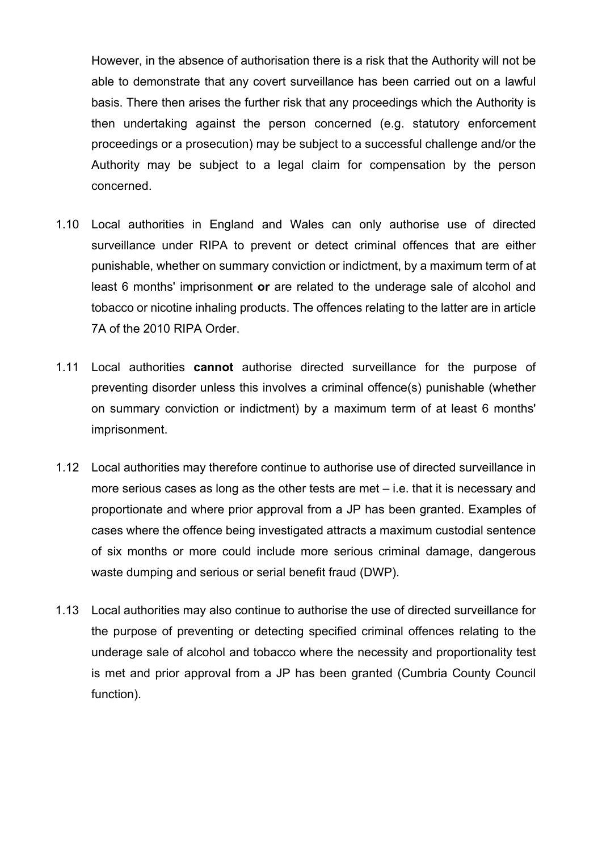However, in the absence of authorisation there is a risk that the Authority will not be able to demonstrate that any covert surveillance has been carried out on a lawful basis. There then arises the further risk that any proceedings which the Authority is then undertaking against the person concerned (e.g. statutory enforcement proceedings or a prosecution) may be subject to a successful challenge and/or the Authority may be subject to a legal claim for compensation by the person concerned.

- 1.10 Local authorities in England and Wales can only authorise use of directed surveillance under RIPA to prevent or detect criminal offences that are either punishable, whether on summary conviction or indictment, by a maximum term of at least 6 months' imprisonment **or** are related to the underage sale of alcohol and tobacco or nicotine inhaling products. The offences relating to the latter are in article 7A of the 2010 RIPA Order.
- 1.11 Local authorities **cannot** authorise directed surveillance for the purpose of preventing disorder unless this involves a criminal offence(s) punishable (whether on summary conviction or indictment) by a maximum term of at least 6 months' imprisonment.
- 1.12 Local authorities may therefore continue to authorise use of directed surveillance in more serious cases as long as the other tests are met – i.e. that it is necessary and proportionate and where prior approval from a JP has been granted. Examples of cases where the offence being investigated attracts a maximum custodial sentence of six months or more could include more serious criminal damage, dangerous waste dumping and serious or serial benefit fraud (DWP).
- 1.13 Local authorities may also continue to authorise the use of directed surveillance for the purpose of preventing or detecting specified criminal offences relating to the underage sale of alcohol and tobacco where the necessity and proportionality test is met and prior approval from a JP has been granted (Cumbria County Council function).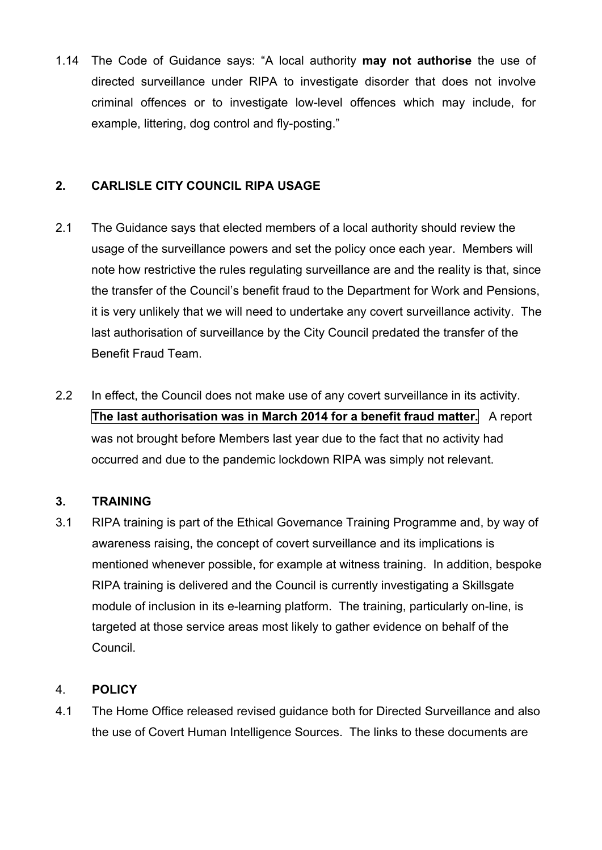1.14 The Code of Guidance says: "A local authority **may not authorise** the use of directed surveillance under RIPA to investigate disorder that does not involve criminal offences or to investigate low-level offences which may include, for example, littering, dog control and fly-posting."

## **2. CARLISLE CITY COUNCIL RIPA USAGE**

- 2.1 The Guidance says that elected members of a local authority should review the usage of the surveillance powers and set the policy once each year. Members will note how restrictive the rules regulating surveillance are and the reality is that, since the transfer of the Council's benefit fraud to the Department for Work and Pensions, it is very unlikely that we will need to undertake any covert surveillance activity. The last authorisation of surveillance by the City Council predated the transfer of the Benefit Fraud Team.
- 2.2 In effect, the Council does not make use of any covert surveillance in its activity. **The last authorisation was in March 2014 for a benefit fraud matter.** A report was not brought before Members last year due to the fact that no activity had occurred and due to the pandemic lockdown RIPA was simply not relevant.

## **3. TRAINING**

3.1 RIPA training is part of the Ethical Governance Training Programme and, by way of awareness raising, the concept of covert surveillance and its implications is mentioned whenever possible, for example at witness training. In addition, bespoke RIPA training is delivered and the Council is currently investigating a Skillsgate module of inclusion in its e-learning platform. The training, particularly on-line, is targeted at those service areas most likely to gather evidence on behalf of the Council.

## 4. **POLICY**

4.1 The Home Office released revised guidance both for Directed Surveillance and also the use of Covert Human Intelligence Sources. The links to these documents are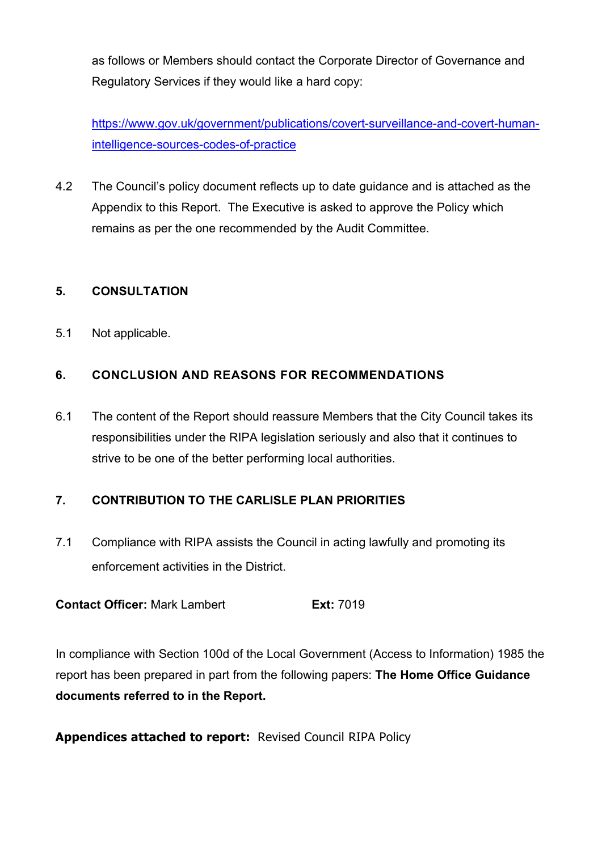as follows or Members should contact the Corporate Director of Governance and Regulatory Services if they would like a hard copy:

https://www.gov.uk/government/publications/covert-surveillance-and-covert-humanintelligence-sources-codes-of-practice

4.2 The Council's policy document reflects up to date guidance and is attached as the Appendix to this Report. The Executive is asked to approve the Policy which remains as per the one recommended by the Audit Committee.

## **5. CONSULTATION**

5.1 Not applicable.

## **6. CONCLUSION AND REASONS FOR RECOMMENDATIONS**

6.1 The content of the Report should reassure Members that the City Council takes its responsibilities under the RIPA legislation seriously and also that it continues to strive to be one of the better performing local authorities.

## **7. CONTRIBUTION TO THE CARLISLE PLAN PRIORITIES**

7.1 Compliance with RIPA assists the Council in acting lawfully and promoting its enforcement activities in the District.

**Contact Officer:** Mark Lambert **Ext:** 7019

In compliance with Section 100d of the Local Government (Access to Information) 1985 the report has been prepared in part from the following papers: **The Home Office Guidance documents referred to in the Report.** 

**Appendices attached to report:** Revised Council RIPA Policy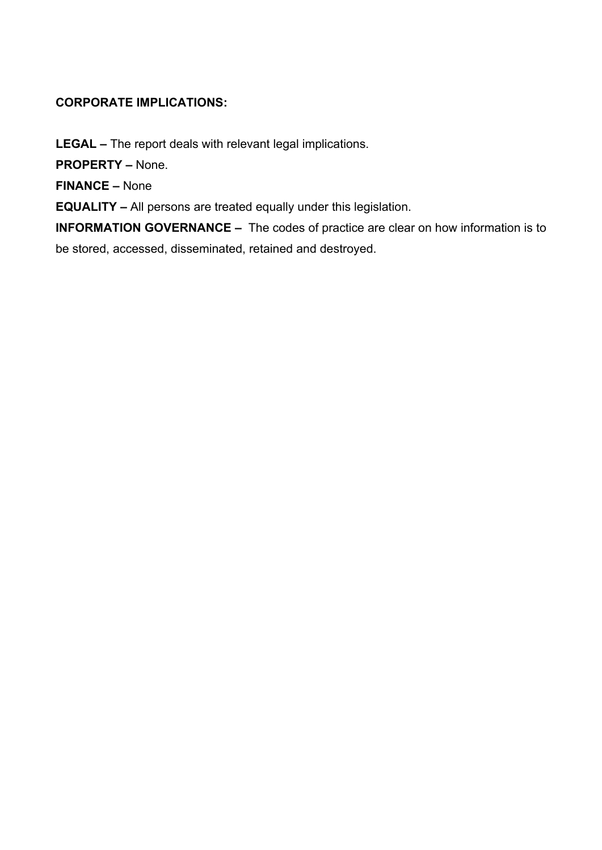## **CORPORATE IMPLICATIONS:**

**LEGAL –** The report deals with relevant legal implications.

**PROPERTY –** None.

**FINANCE –** None

**EQUALITY –** All persons are treated equally under this legislation.

**INFORMATION GOVERNANCE –** The codes of practice are clear on how information is to be stored, accessed, disseminated, retained and destroyed.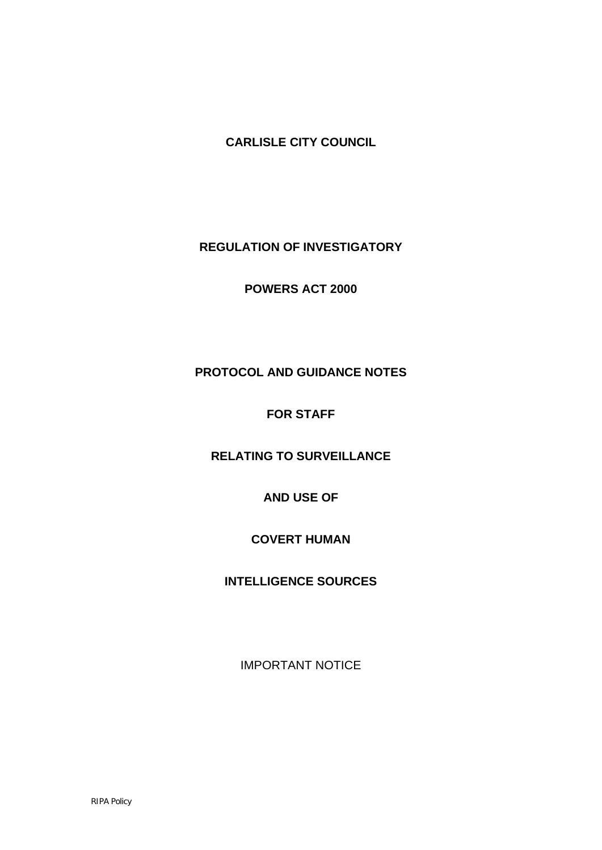**CARLISLE CITY COUNCIL**

**REGULATION OF INVESTIGATORY** 

**POWERS ACT 2000**

## **PROTOCOL AND GUIDANCE NOTES**

## **FOR STAFF**

## **RELATING TO SURVEILLANCE**

## **AND USE OF**

## **COVERT HUMAN**

## **INTELLIGENCE SOURCES**

IMPORTANT NOTICE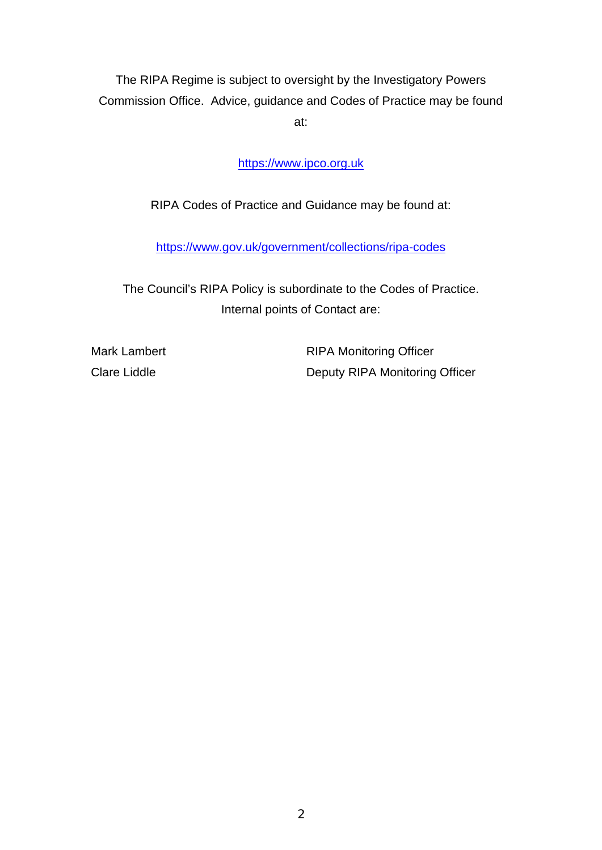The RIPA Regime is subject to oversight by the Investigatory Powers Commission Office. Advice, guidance and Codes of Practice may be found at:

[https://www.ipco.org.uk](https://linkprotect.cudasvc.com/url?a=https%3a%2f%2fwww.ipco.org.uk%2f&c=E,1,xnz8kl40CwDI2q_-GsOK-GD5U4StC-j3AsCQ397ZbwFax7ez35Grbw5YHH2kXhIeVYSmZU_gxiGfyN0uVLUMRFWcMj09bqYT6lLGxDyI&typo=1)

RIPA Codes of Practice and Guidance may be found at:

<https://www.gov.uk/government/collections/ripa-codes>

The Council's RIPA Policy is subordinate to the Codes of Practice. Internal points of Contact are:

Mark Lambert **RIPA Monitoring Officer** Clare Liddle **Clare Liddle** Deputy RIPA Monitoring Officer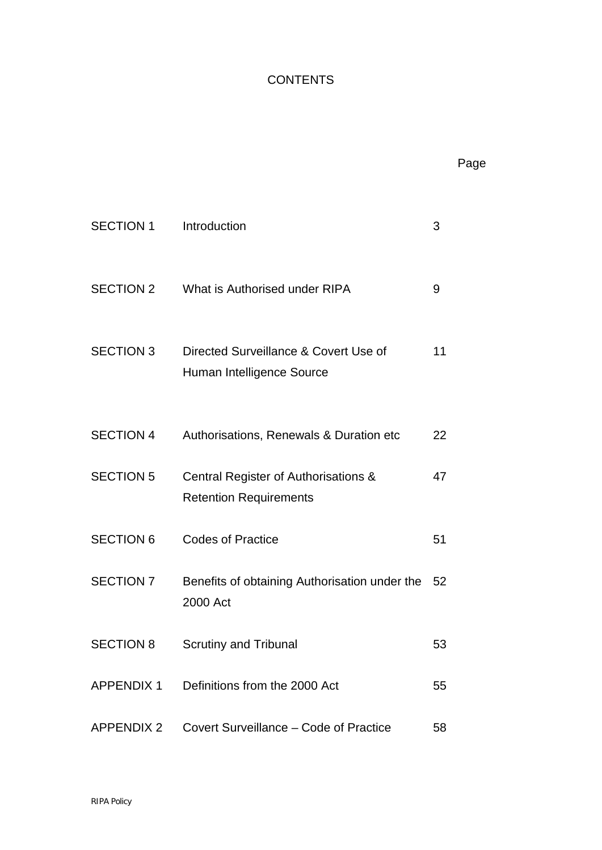## **CONTENTS**

Page

| <b>SECTION 1</b> | Introduction                                                          | 3  |
|------------------|-----------------------------------------------------------------------|----|
|                  | SECTION 2 What is Authorised under RIPA                               | 9  |
| <b>SECTION 3</b> | Directed Surveillance & Covert Use of<br>Human Intelligence Source    | 11 |
| <b>SECTION 4</b> | Authorisations, Renewals & Duration etc                               | 22 |
| <b>SECTION 5</b> | Central Register of Authorisations &<br><b>Retention Requirements</b> | 47 |
| <b>SECTION 6</b> | <b>Codes of Practice</b>                                              | 51 |
| <b>SECTION 7</b> | Benefits of obtaining Authorisation under the 52<br>2000 Act          |    |
| <b>SECTION 8</b> | <b>Scrutiny and Tribunal</b>                                          | 53 |
|                  | APPENDIX 1 Definitions from the 2000 Act                              | 55 |
|                  | APPENDIX 2 Covert Surveillance – Code of Practice                     | 58 |
|                  |                                                                       |    |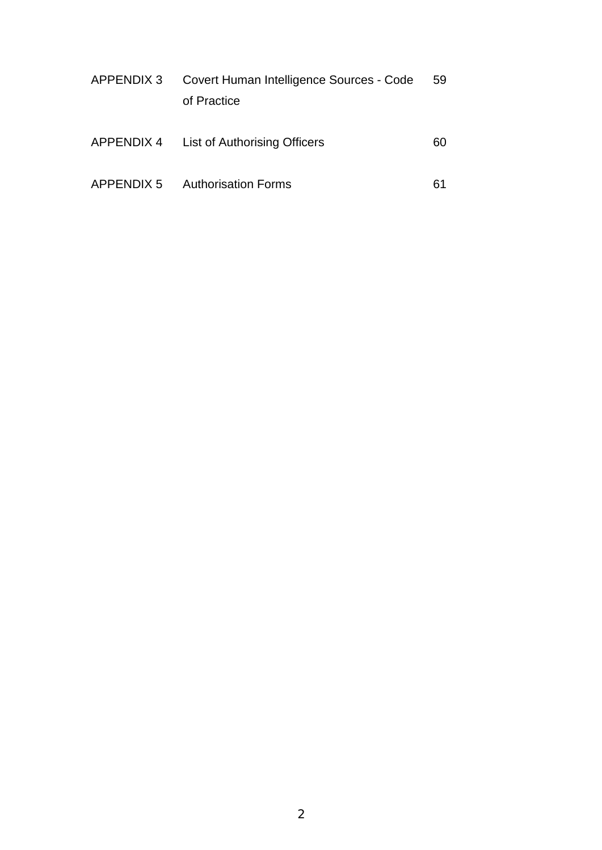| APPENDIX 3 | Covert Human Intelligence Sources - Code |    |
|------------|------------------------------------------|----|
|            | of Practice                              |    |
|            |                                          |    |
|            | APPENDIX 4 List of Authorising Officers  | 60 |
|            |                                          |    |
| APPENDIX 5 | <b>Authorisation Forms</b>               | 61 |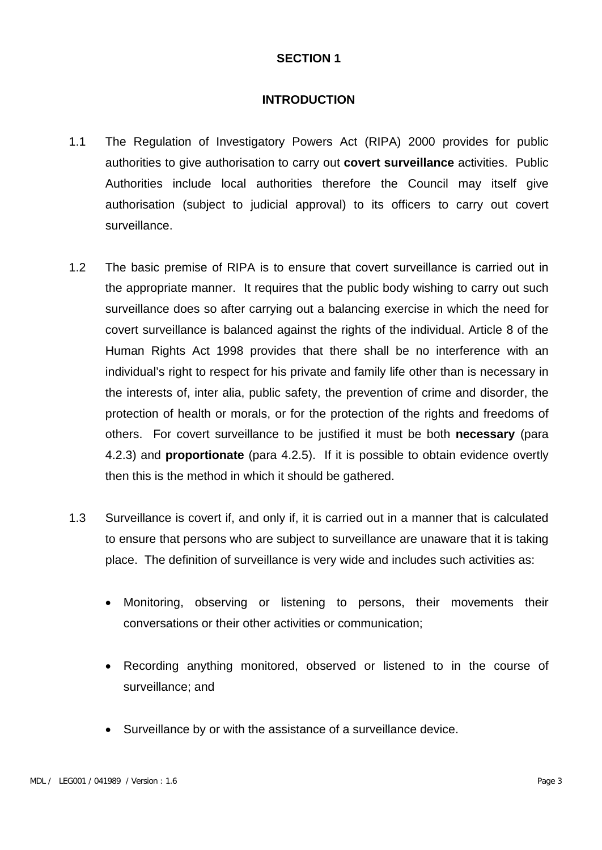#### **INTRODUCTION**

- 1.1 The Regulation of Investigatory Powers Act (RIPA) 2000 provides for public authorities to give authorisation to carry out **covert surveillance** activities. Public Authorities include local authorities therefore the Council may itself give authorisation (subject to judicial approval) to its officers to carry out covert surveillance.
- 1.2 The basic premise of RIPA is to ensure that covert surveillance is carried out in the appropriate manner. It requires that the public body wishing to carry out such surveillance does so after carrying out a balancing exercise in which the need for covert surveillance is balanced against the rights of the individual. Article 8 of the Human Rights Act 1998 provides that there shall be no interference with an individual's right to respect for his private and family life other than is necessary in the interests of, inter alia, public safety, the prevention of crime and disorder, the protection of health or morals, or for the protection of the rights and freedoms of others. For covert surveillance to be justified it must be both **necessary** (para 4.2.3) and **proportionate** (para 4.2.5). If it is possible to obtain evidence overtly then this is the method in which it should be gathered.
- 1.3 Surveillance is covert if, and only if, it is carried out in a manner that is calculated to ensure that persons who are subject to surveillance are unaware that it is taking place. The definition of surveillance is very wide and includes such activities as:
	- Monitoring, observing or listening to persons, their movements their conversations or their other activities or communication;
	- Recording anything monitored, observed or listened to in the course of surveillance; and
	- Surveillance by or with the assistance of a surveillance device.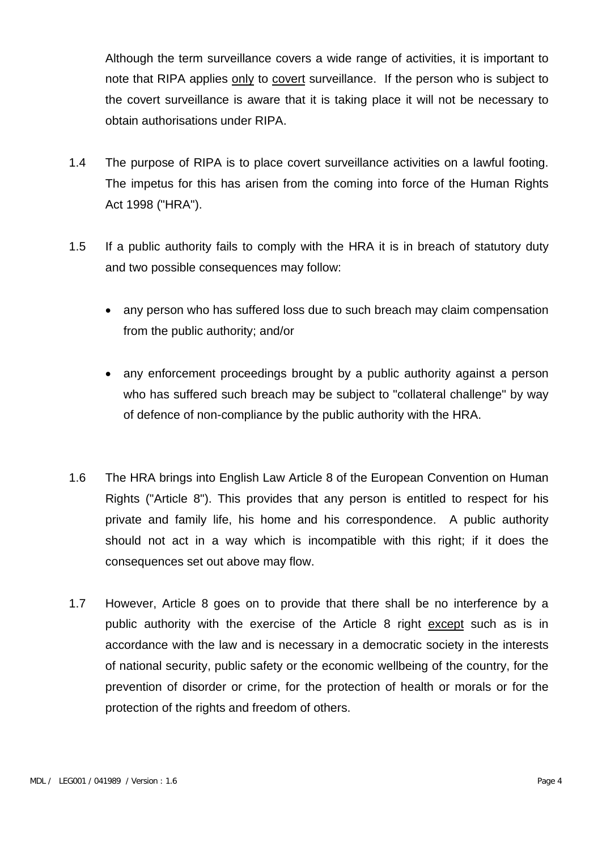Although the term surveillance covers a wide range of activities, it is important to note that RIPA applies only to covert surveillance. If the person who is subject to the covert surveillance is aware that it is taking place it will not be necessary to obtain authorisations under RIPA.

- 1.4 The purpose of RIPA is to place covert surveillance activities on a lawful footing. The impetus for this has arisen from the coming into force of the Human Rights Act 1998 ("HRA").
- 1.5 If a public authority fails to comply with the HRA it is in breach of statutory duty and two possible consequences may follow:
	- any person who has suffered loss due to such breach may claim compensation from the public authority; and/or
	- any enforcement proceedings brought by a public authority against a person who has suffered such breach may be subject to "collateral challenge" by way of defence of non-compliance by the public authority with the HRA.
- 1.6 The HRA brings into English Law Article 8 of the European Convention on Human Rights ("Article 8"). This provides that any person is entitled to respect for his private and family life, his home and his correspondence. A public authority should not act in a way which is incompatible with this right; if it does the consequences set out above may flow.
- 1.7 However, Article 8 goes on to provide that there shall be no interference by a public authority with the exercise of the Article 8 right except such as is in accordance with the law and is necessary in a democratic society in the interests of national security, public safety or the economic wellbeing of the country, for the prevention of disorder or crime, for the protection of health or morals or for the protection of the rights and freedom of others.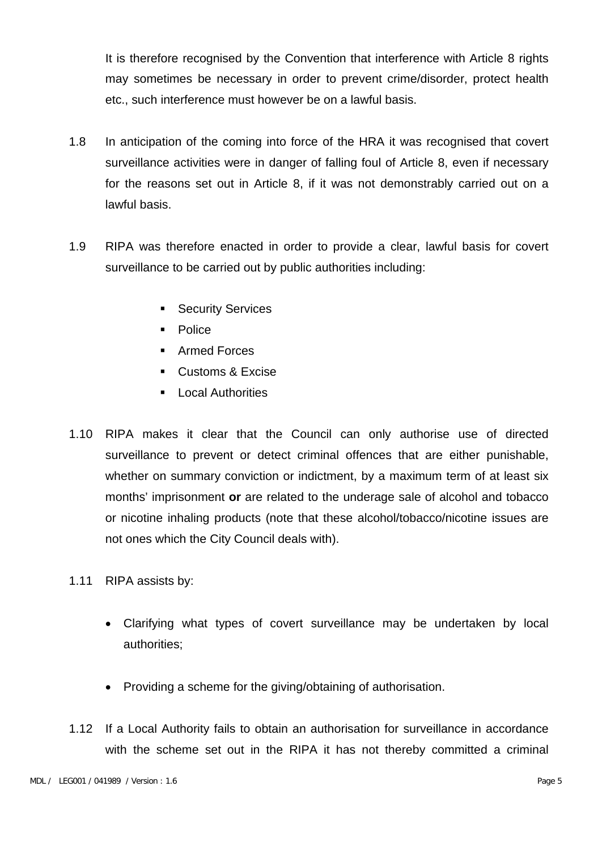It is therefore recognised by the Convention that interference with Article 8 rights may sometimes be necessary in order to prevent crime/disorder, protect health etc., such interference must however be on a lawful basis.

- 1.8 In anticipation of the coming into force of the HRA it was recognised that covert surveillance activities were in danger of falling foul of Article 8, even if necessary for the reasons set out in Article 8, if it was not demonstrably carried out on a lawful basis.
- 1.9 RIPA was therefore enacted in order to provide a clear, lawful basis for covert surveillance to be carried out by public authorities including:
	- **Security Services**
	- **Police**
	- Armed Forces
	- **Customs & Excise**
	- **Local Authorities**
- 1.10 RIPA makes it clear that the Council can only authorise use of directed surveillance to prevent or detect criminal offences that are either punishable, whether on summary conviction or indictment, by a maximum term of at least six months' imprisonment **or** are related to the underage sale of alcohol and tobacco or nicotine inhaling products (note that these alcohol/tobacco/nicotine issues are not ones which the City Council deals with).
- 1.11 RIPA assists by:
	- Clarifying what types of covert surveillance may be undertaken by local authorities;
	- Providing a scheme for the giving/obtaining of authorisation.
- 1.12 If a Local Authority fails to obtain an authorisation for surveillance in accordance with the scheme set out in the RIPA it has not thereby committed a criminal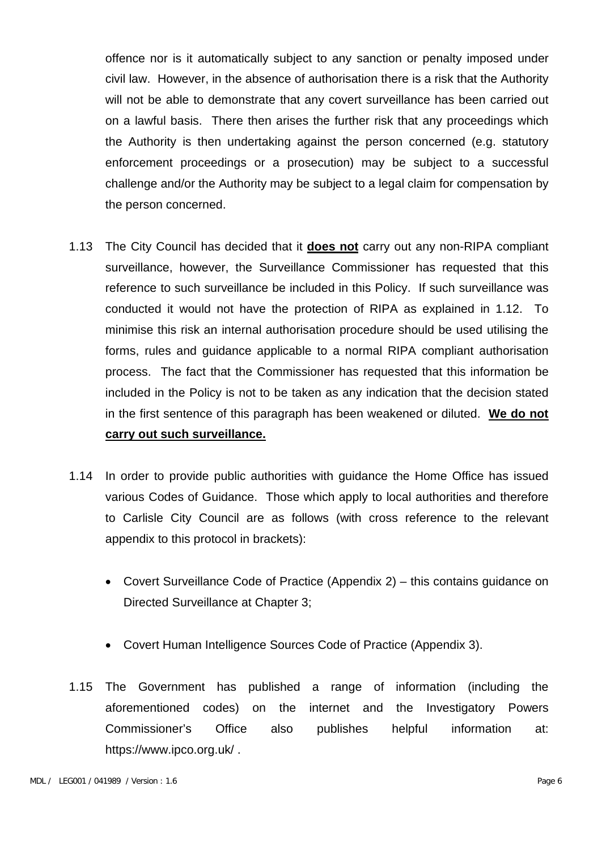offence nor is it automatically subject to any sanction or penalty imposed under civil law. However, in the absence of authorisation there is a risk that the Authority will not be able to demonstrate that any covert surveillance has been carried out on a lawful basis. There then arises the further risk that any proceedings which the Authority is then undertaking against the person concerned (e.g. statutory enforcement proceedings or a prosecution) may be subject to a successful challenge and/or the Authority may be subject to a legal claim for compensation by the person concerned.

- 1.13 The City Council has decided that it **does not** carry out any non-RIPA compliant surveillance, however, the Surveillance Commissioner has requested that this reference to such surveillance be included in this Policy. If such surveillance was conducted it would not have the protection of RIPA as explained in 1.12. To minimise this risk an internal authorisation procedure should be used utilising the forms, rules and guidance applicable to a normal RIPA compliant authorisation process. The fact that the Commissioner has requested that this information be included in the Policy is not to be taken as any indication that the decision stated in the first sentence of this paragraph has been weakened or diluted. **We do not carry out such surveillance.**
- 1.14 In order to provide public authorities with guidance the Home Office has issued various Codes of Guidance. Those which apply to local authorities and therefore to Carlisle City Council are as follows (with cross reference to the relevant appendix to this protocol in brackets):
	- Covert Surveillance Code of Practice (Appendix 2) this contains guidance on Directed Surveillance at Chapter 3;
	- Covert Human Intelligence Sources Code of Practice (Appendix 3).
- 1.15 The Government has published a range of information (including the aforementioned codes) on the internet and the Investigatory Powers Commissioner's Office also publishes helpful information at: https://www.ipco.org.uk/ .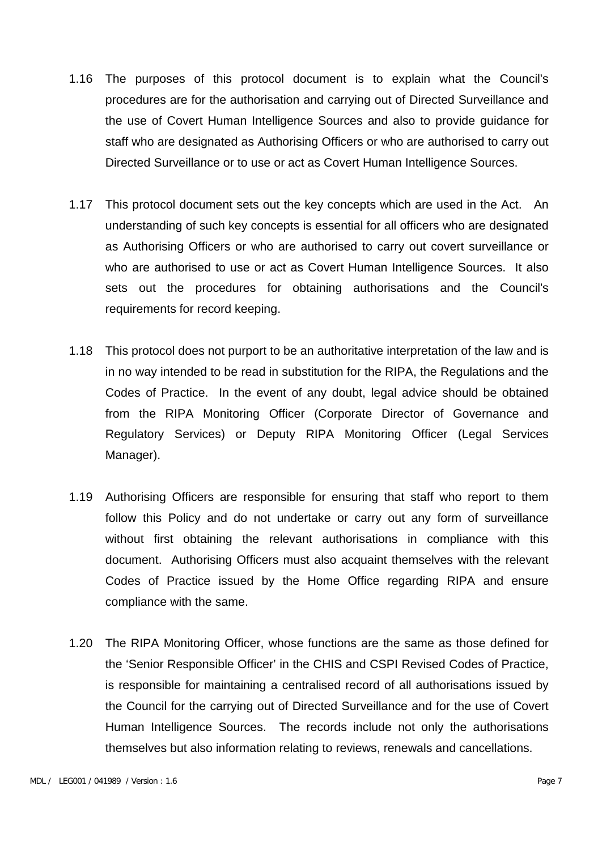- 1.16 The purposes of this protocol document is to explain what the Council's procedures are for the authorisation and carrying out of Directed Surveillance and the use of Covert Human Intelligence Sources and also to provide guidance for staff who are designated as Authorising Officers or who are authorised to carry out Directed Surveillance or to use or act as Covert Human Intelligence Sources.
- 1.17 This protocol document sets out the key concepts which are used in the Act. An understanding of such key concepts is essential for all officers who are designated as Authorising Officers or who are authorised to carry out covert surveillance or who are authorised to use or act as Covert Human Intelligence Sources. It also sets out the procedures for obtaining authorisations and the Council's requirements for record keeping.
- 1.18 This protocol does not purport to be an authoritative interpretation of the law and is in no way intended to be read in substitution for the RIPA, the Regulations and the Codes of Practice. In the event of any doubt, legal advice should be obtained from the RIPA Monitoring Officer (Corporate Director of Governance and Regulatory Services) or Deputy RIPA Monitoring Officer (Legal Services Manager).
- 1.19 Authorising Officers are responsible for ensuring that staff who report to them follow this Policy and do not undertake or carry out any form of surveillance without first obtaining the relevant authorisations in compliance with this document. Authorising Officers must also acquaint themselves with the relevant Codes of Practice issued by the Home Office regarding RIPA and ensure compliance with the same.
- 1.20 The RIPA Monitoring Officer, whose functions are the same as those defined for the 'Senior Responsible Officer' in the CHIS and CSPI Revised Codes of Practice, is responsible for maintaining a centralised record of all authorisations issued by the Council for the carrying out of Directed Surveillance and for the use of Covert Human Intelligence Sources. The records include not only the authorisations themselves but also information relating to reviews, renewals and cancellations.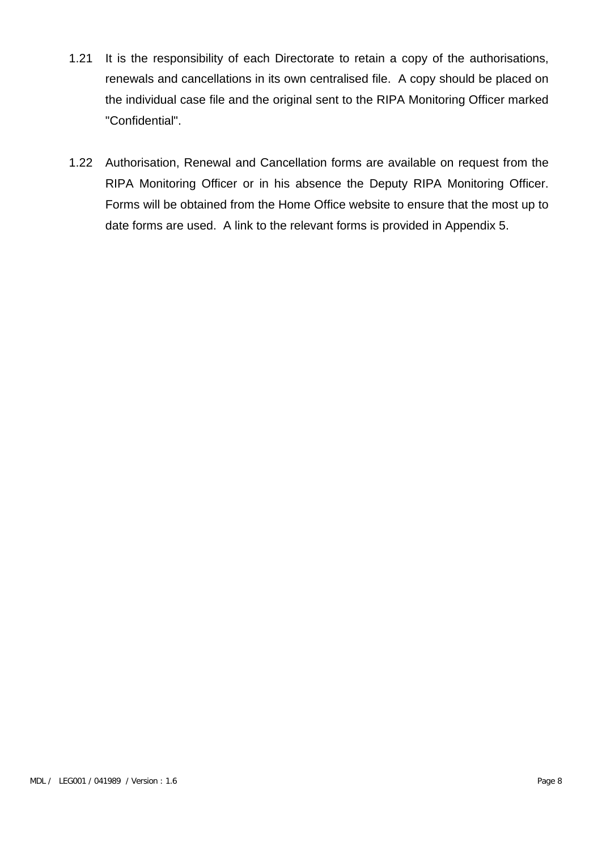- 1.21 It is the responsibility of each Directorate to retain a copy of the authorisations, renewals and cancellations in its own centralised file. A copy should be placed on the individual case file and the original sent to the RIPA Monitoring Officer marked "Confidential".
- 1.22 Authorisation, Renewal and Cancellation forms are available on request from the RIPA Monitoring Officer or in his absence the Deputy RIPA Monitoring Officer. Forms will be obtained from the Home Office website to ensure that the most up to date forms are used. A link to the relevant forms is provided in Appendix 5.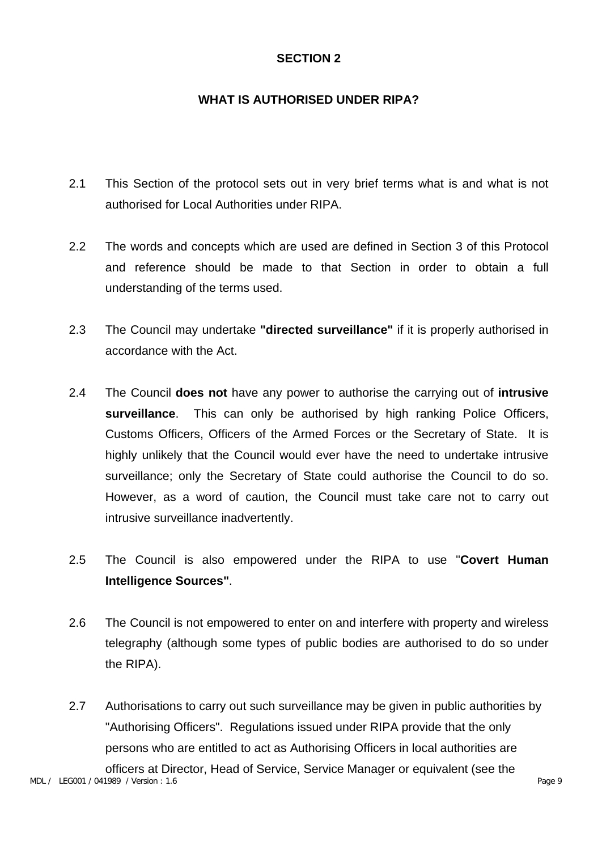## **WHAT IS AUTHORISED UNDER RIPA?**

- 2.1 This Section of the protocol sets out in very brief terms what is and what is not authorised for Local Authorities under RIPA.
- 2.2 The words and concepts which are used are defined in Section 3 of this Protocol and reference should be made to that Section in order to obtain a full understanding of the terms used.
- 2.3 The Council may undertake **"directed surveillance"** if it is properly authorised in accordance with the Act.
- 2.4 The Council **does not** have any power to authorise the carrying out of **intrusive surveillance**. This can only be authorised by high ranking Police Officers, Customs Officers, Officers of the Armed Forces or the Secretary of State. It is highly unlikely that the Council would ever have the need to undertake intrusive surveillance; only the Secretary of State could authorise the Council to do so. However, as a word of caution, the Council must take care not to carry out intrusive surveillance inadvertently.
- 2.5 The Council is also empowered under the RIPA to use "**Covert Human Intelligence Sources"**.
- 2.6 The Council is not empowered to enter on and interfere with property and wireless telegraphy (although some types of public bodies are authorised to do so under the RIPA).
- MDL / LEG001 / 041989 / Version : 1.6 Page 9 2.7 Authorisations to carry out such surveillance may be given in public authorities by "Authorising Officers". Regulations issued under RIPA provide that the only persons who are entitled to act as Authorising Officers in local authorities are officers at Director, Head of Service, Service Manager or equivalent (see the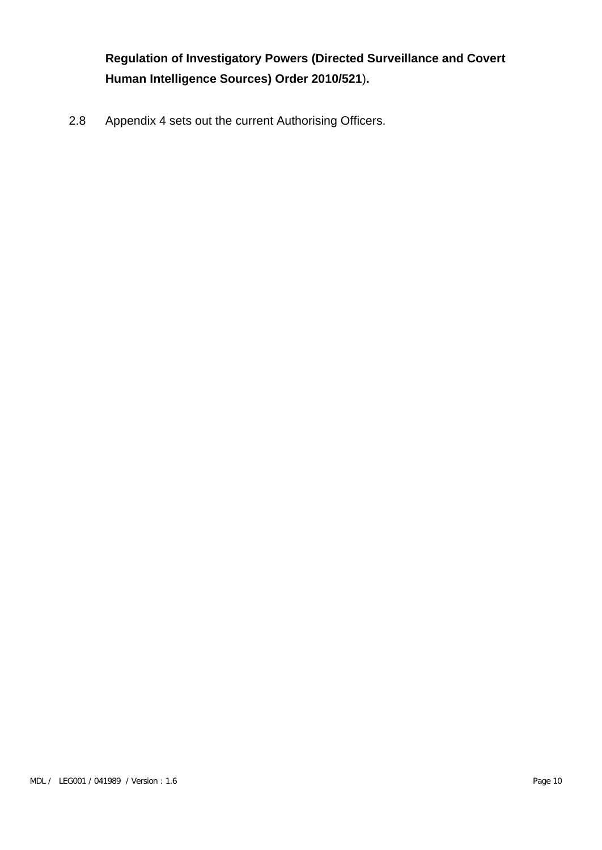**Regulation of Investigatory Powers (Directed Surveillance and Covert Human Intelligence Sources) Order 2010/521**)**.**

2.8 Appendix 4 sets out the current Authorising Officers.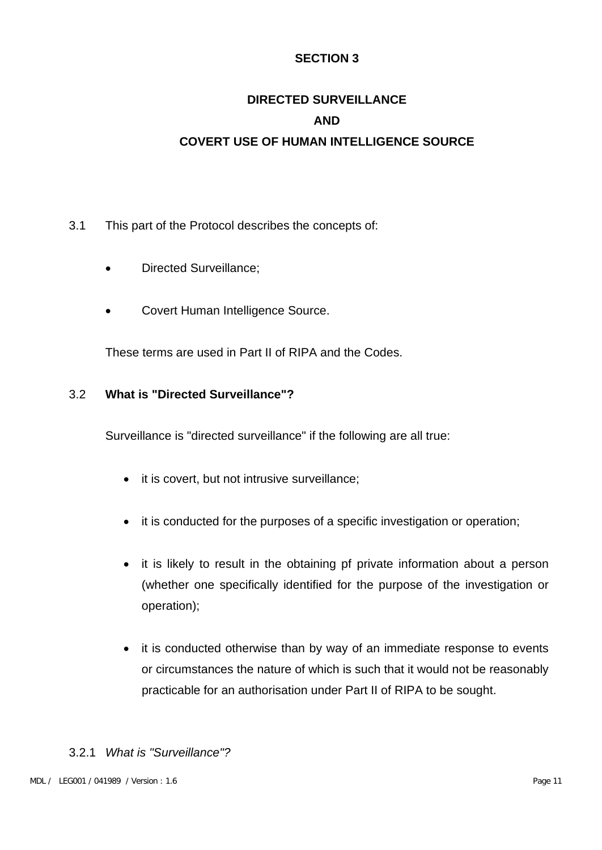# **DIRECTED SURVEILLANCE AND COVERT USE OF HUMAN INTELLIGENCE SOURCE**

- 3.1 This part of the Protocol describes the concepts of:
	- Directed Surveillance;
	- Covert Human Intelligence Source.

These terms are used in Part II of RIPA and the Codes.

#### 3.2 **What is "Directed Surveillance"?**

Surveillance is "directed surveillance" if the following are all true:

- it is covert, but not intrusive surveillance;
- it is conducted for the purposes of a specific investigation or operation;
- it is likely to result in the obtaining pf private information about a person (whether one specifically identified for the purpose of the investigation or operation);
- it is conducted otherwise than by way of an immediate response to events or circumstances the nature of which is such that it would not be reasonably practicable for an authorisation under Part II of RIPA to be sought.

#### 3.2.1 *What is "Surveillance"?*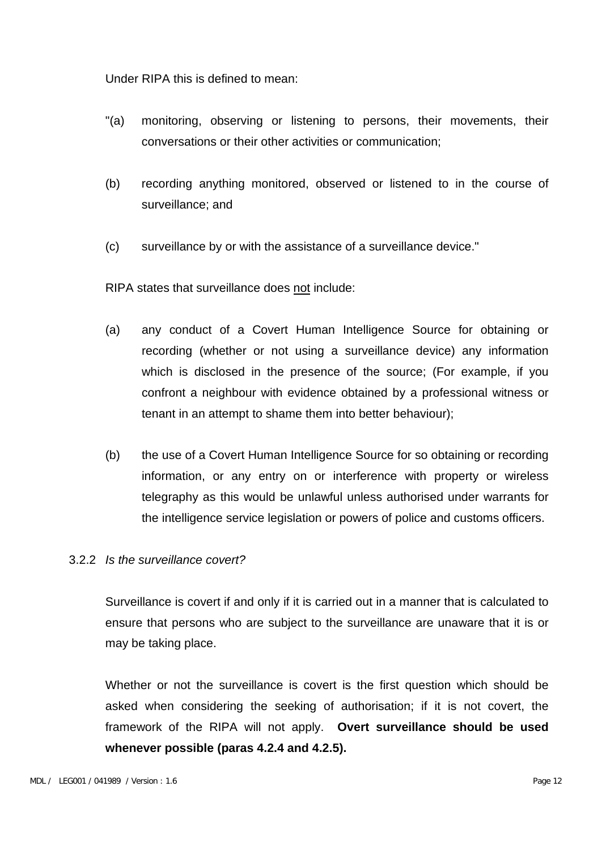Under RIPA this is defined to mean:

- "(a) monitoring, observing or listening to persons, their movements, their conversations or their other activities or communication;
- (b) recording anything monitored, observed or listened to in the course of surveillance; and
- (c) surveillance by or with the assistance of a surveillance device."

RIPA states that surveillance does not include:

- (a) any conduct of a Covert Human Intelligence Source for obtaining or recording (whether or not using a surveillance device) any information which is disclosed in the presence of the source; (For example, if you confront a neighbour with evidence obtained by a professional witness or tenant in an attempt to shame them into better behaviour);
- (b) the use of a Covert Human Intelligence Source for so obtaining or recording information, or any entry on or interference with property or wireless telegraphy as this would be unlawful unless authorised under warrants for the intelligence service legislation or powers of police and customs officers.

#### 3.2.2 *Is the surveillance covert?*

Surveillance is covert if and only if it is carried out in a manner that is calculated to ensure that persons who are subject to the surveillance are unaware that it is or may be taking place.

Whether or not the surveillance is covert is the first question which should be asked when considering the seeking of authorisation; if it is not covert, the framework of the RIPA will not apply. **Overt surveillance should be used whenever possible (paras 4.2.4 and 4.2.5).**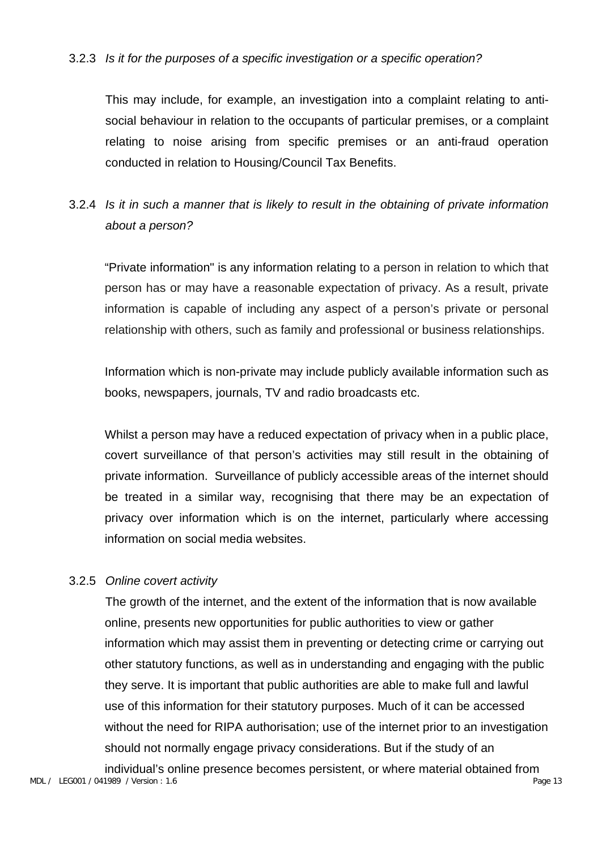#### 3.2.3 *Is it for the purposes of a specific investigation or a specific operation?*

This may include, for example, an investigation into a complaint relating to antisocial behaviour in relation to the occupants of particular premises, or a complaint relating to noise arising from specific premises or an anti-fraud operation conducted in relation to Housing/Council Tax Benefits.

## 3.2.4 *Is it in such a manner that is likely to result in the obtaining of private information about a person?*

"Private information" is any information relating to a person in relation to which that person has or may have a reasonable expectation of privacy. As a result, private information is capable of including any aspect of a person's private or personal relationship with others, such as family and professional or business relationships.

Information which is non-private may include publicly available information such as books, newspapers, journals, TV and radio broadcasts etc.

Whilst a person may have a reduced expectation of privacy when in a public place, covert surveillance of that person's activities may still result in the obtaining of private information. Surveillance of publicly accessible areas of the internet should be treated in a similar way, recognising that there may be an expectation of privacy over information which is on the internet, particularly where accessing information on social media websites.

#### 3.2.5 *Online covert activity*

The growth of the internet, and the extent of the information that is now available online, presents new opportunities for public authorities to view or gather information which may assist them in preventing or detecting crime or carrying out other statutory functions, as well as in understanding and engaging with the public they serve. It is important that public authorities are able to make full and lawful use of this information for their statutory purposes. Much of it can be accessed without the need for RIPA authorisation; use of the internet prior to an investigation should not normally engage privacy considerations. But if the study of an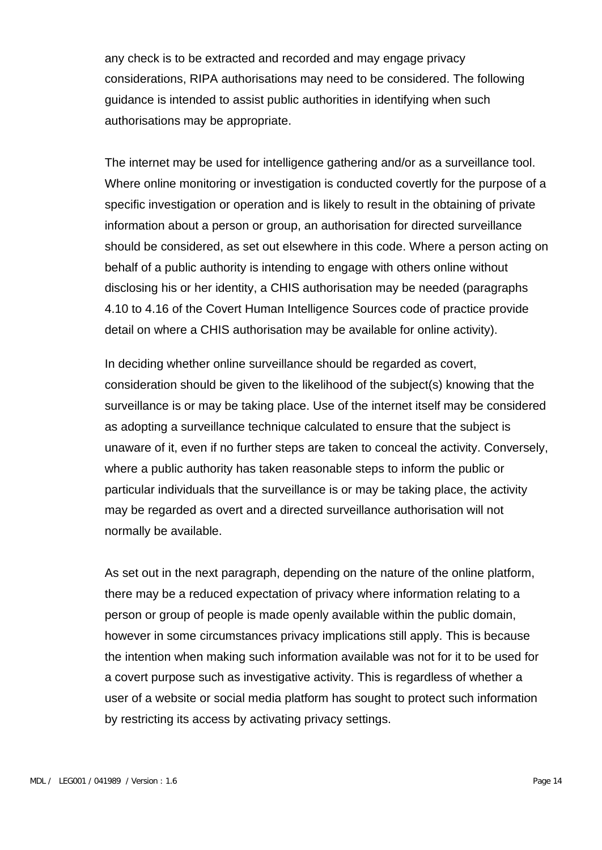any check is to be extracted and recorded and may engage privacy considerations, RIPA authorisations may need to be considered. The following guidance is intended to assist public authorities in identifying when such authorisations may be appropriate.

The internet may be used for intelligence gathering and/or as a surveillance tool. Where online monitoring or investigation is conducted covertly for the purpose of a specific investigation or operation and is likely to result in the obtaining of private information about a person or group, an authorisation for directed surveillance should be considered, as set out elsewhere in this code. Where a person acting on behalf of a public authority is intending to engage with others online without disclosing his or her identity, a CHIS authorisation may be needed (paragraphs 4.10 to 4.16 of the Covert Human Intelligence Sources code of practice provide detail on where a CHIS authorisation may be available for online activity).

In deciding whether online surveillance should be regarded as covert, consideration should be given to the likelihood of the subject(s) knowing that the surveillance is or may be taking place. Use of the internet itself may be considered as adopting a surveillance technique calculated to ensure that the subject is unaware of it, even if no further steps are taken to conceal the activity. Conversely, where a public authority has taken reasonable steps to inform the public or particular individuals that the surveillance is or may be taking place, the activity may be regarded as overt and a directed surveillance authorisation will not normally be available.

As set out in the next paragraph, depending on the nature of the online platform, there may be a reduced expectation of privacy where information relating to a person or group of people is made openly available within the public domain, however in some circumstances privacy implications still apply. This is because the intention when making such information available was not for it to be used for a covert purpose such as investigative activity. This is regardless of whether a user of a website or social media platform has sought to protect such information by restricting its access by activating privacy settings.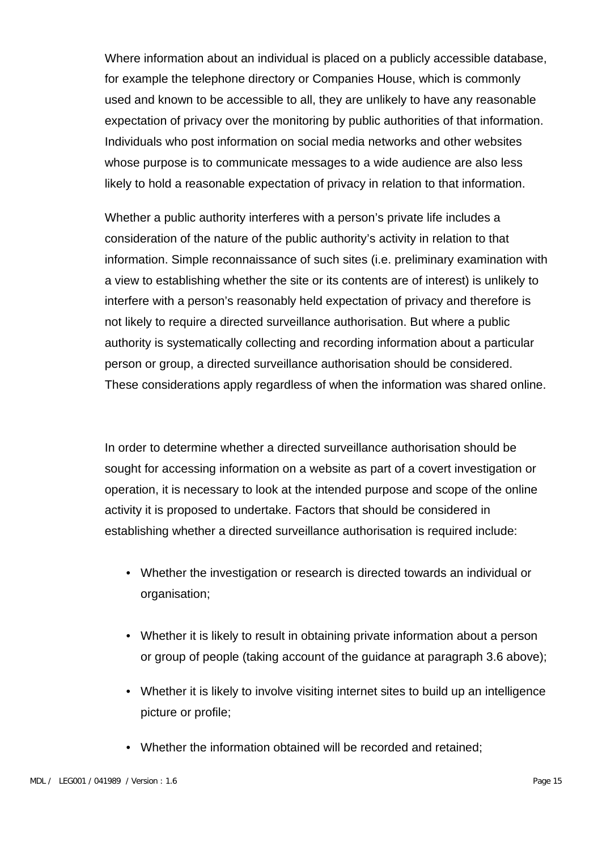Where information about an individual is placed on a publicly accessible database, for example the telephone directory or Companies House, which is commonly used and known to be accessible to all, they are unlikely to have any reasonable expectation of privacy over the monitoring by public authorities of that information. Individuals who post information on social media networks and other websites whose purpose is to communicate messages to a wide audience are also less likely to hold a reasonable expectation of privacy in relation to that information.

Whether a public authority interferes with a person's private life includes a consideration of the nature of the public authority's activity in relation to that information. Simple reconnaissance of such sites (i.e. preliminary examination with a view to establishing whether the site or its contents are of interest) is unlikely to interfere with a person's reasonably held expectation of privacy and therefore is not likely to require a directed surveillance authorisation. But where a public authority is systematically collecting and recording information about a particular person or group, a directed surveillance authorisation should be considered. These considerations apply regardless of when the information was shared online.

In order to determine whether a directed surveillance authorisation should be sought for accessing information on a website as part of a covert investigation or operation, it is necessary to look at the intended purpose and scope of the online activity it is proposed to undertake. Factors that should be considered in establishing whether a directed surveillance authorisation is required include:

- Whether the investigation or research is directed towards an individual or organisation;
- Whether it is likely to result in obtaining private information about a person or group of people (taking account of the guidance at paragraph 3.6 above);
- Whether it is likely to involve visiting internet sites to build up an intelligence picture or profile;
- Whether the information obtained will be recorded and retained;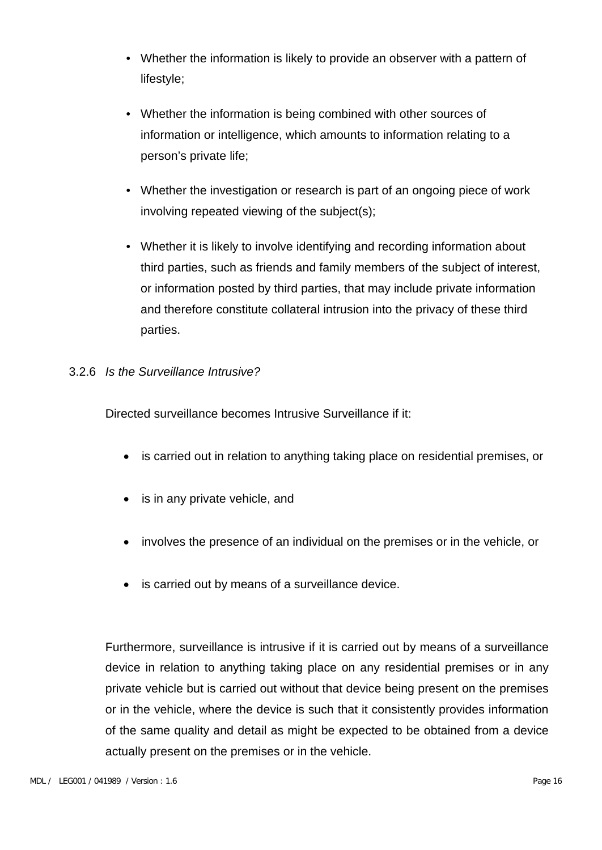- Whether the information is likely to provide an observer with a pattern of lifestyle;
- Whether the information is being combined with other sources of information or intelligence, which amounts to information relating to a person's private life;
- Whether the investigation or research is part of an ongoing piece of work involving repeated viewing of the subject(s);
- Whether it is likely to involve identifying and recording information about third parties, such as friends and family members of the subject of interest, or information posted by third parties, that may include private information and therefore constitute collateral intrusion into the privacy of these third parties.

#### 3.2.6 *Is the Surveillance Intrusive?*

Directed surveillance becomes Intrusive Surveillance if it:

- is carried out in relation to anything taking place on residential premises, or
- is in any private vehicle, and
- involves the presence of an individual on the premises or in the vehicle, or
- is carried out by means of a surveillance device.

Furthermore, surveillance is intrusive if it is carried out by means of a surveillance device in relation to anything taking place on any residential premises or in any private vehicle but is carried out without that device being present on the premises or in the vehicle, where the device is such that it consistently provides information of the same quality and detail as might be expected to be obtained from a device actually present on the premises or in the vehicle.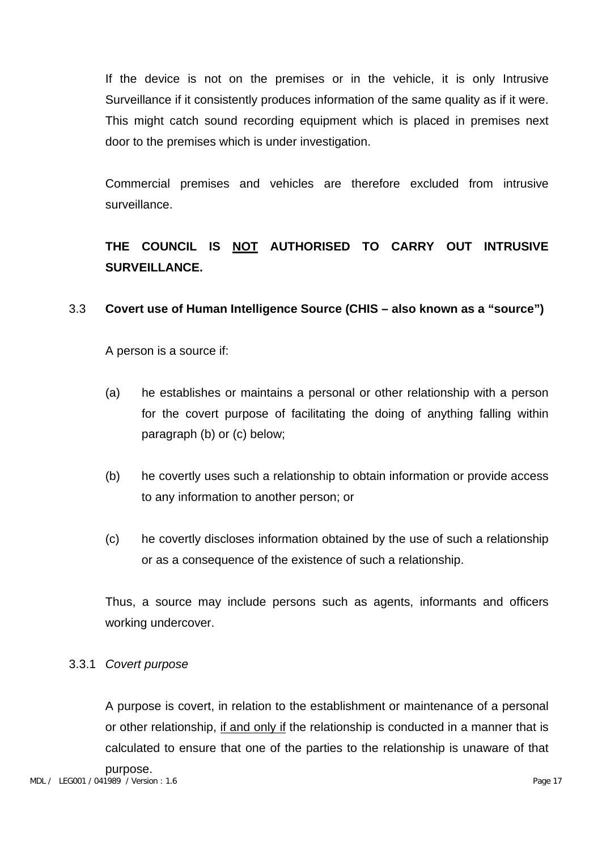If the device is not on the premises or in the vehicle, it is only Intrusive Surveillance if it consistently produces information of the same quality as if it were. This might catch sound recording equipment which is placed in premises next door to the premises which is under investigation.

Commercial premises and vehicles are therefore excluded from intrusive surveillance.

## **THE COUNCIL IS NOT AUTHORISED TO CARRY OUT INTRUSIVE SURVEILLANCE.**

#### 3.3 **Covert use of Human Intelligence Source (CHIS – also known as a "source")**

A person is a source if:

- (a) he establishes or maintains a personal or other relationship with a person for the covert purpose of facilitating the doing of anything falling within paragraph (b) or (c) below;
- (b) he covertly uses such a relationship to obtain information or provide access to any information to another person; or
- (c) he covertly discloses information obtained by the use of such a relationship or as a consequence of the existence of such a relationship.

Thus, a source may include persons such as agents, informants and officers working undercover.

#### 3.3.1 *Covert purpose*

A purpose is covert, in relation to the establishment or maintenance of a personal or other relationship, if and only if the relationship is conducted in a manner that is calculated to ensure that one of the parties to the relationship is unaware of that purpose.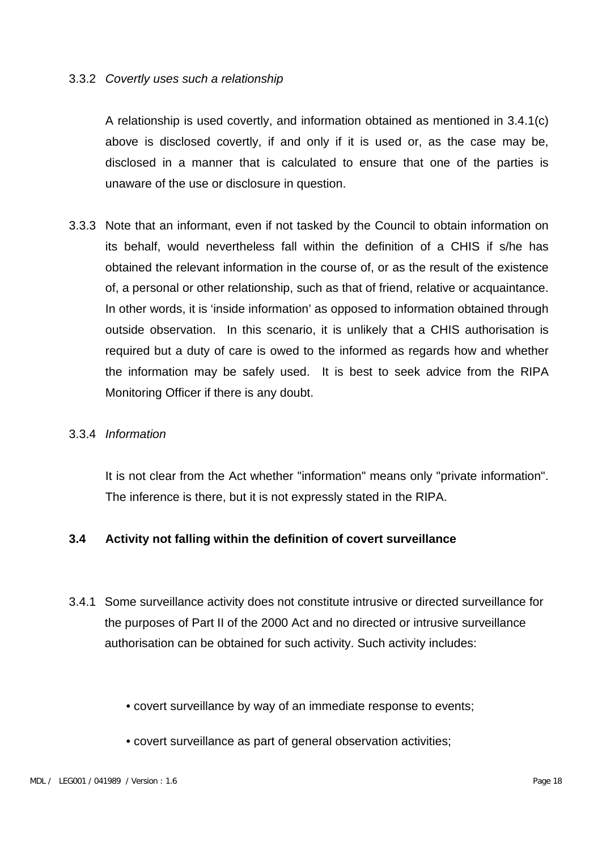#### 3.3.2 *Covertly uses such a relationship*

A relationship is used covertly, and information obtained as mentioned in 3.4.1(c) above is disclosed covertly, if and only if it is used or, as the case may be, disclosed in a manner that is calculated to ensure that one of the parties is unaware of the use or disclosure in question.

3.3.3 Note that an informant, even if not tasked by the Council to obtain information on its behalf, would nevertheless fall within the definition of a CHIS if s/he has obtained the relevant information in the course of, or as the result of the existence of, a personal or other relationship, such as that of friend, relative or acquaintance. In other words, it is 'inside information' as opposed to information obtained through outside observation. In this scenario, it is unlikely that a CHIS authorisation is required but a duty of care is owed to the informed as regards how and whether the information may be safely used. It is best to seek advice from the RIPA Monitoring Officer if there is any doubt.

#### 3.3.4 *Information*

It is not clear from the Act whether "information" means only "private information". The inference is there, but it is not expressly stated in the RIPA.

#### **3.4 Activity not falling within the definition of covert surveillance**

- 3.4.1 Some surveillance activity does not constitute intrusive or directed surveillance for the purposes of Part II of the 2000 Act and no directed or intrusive surveillance authorisation can be obtained for such activity. Such activity includes:
	- covert surveillance by way of an immediate response to events;
	- covert surveillance as part of general observation activities;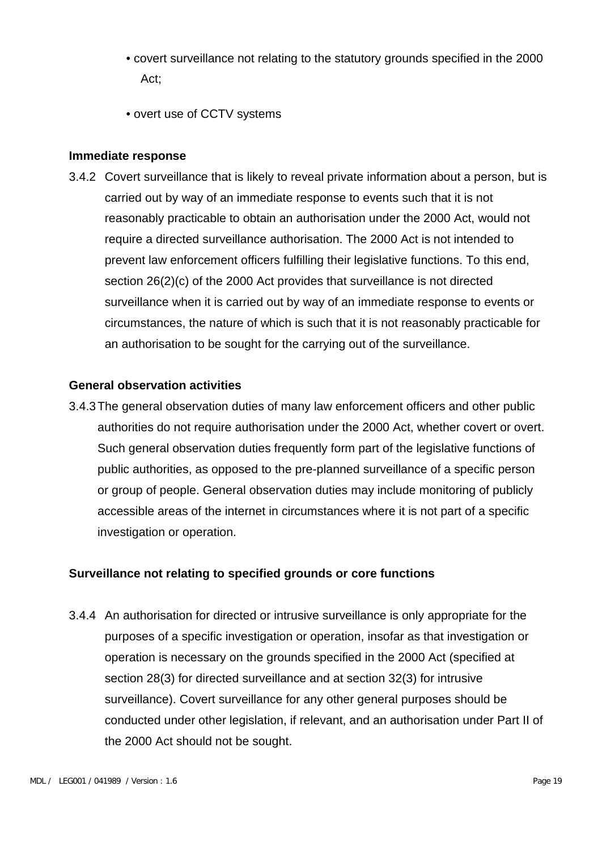- covert surveillance not relating to the statutory grounds specified in the 2000 Act;
- overt use of CCTV systems

#### **Immediate response**

3.4.2 Covert surveillance that is likely to reveal private information about a person, but is carried out by way of an immediate response to events such that it is not reasonably practicable to obtain an authorisation under the 2000 Act, would not require a directed surveillance authorisation. The 2000 Act is not intended to prevent law enforcement officers fulfilling their legislative functions. To this end, section 26(2)(c) of the 2000 Act provides that surveillance is not directed surveillance when it is carried out by way of an immediate response to events or circumstances, the nature of which is such that it is not reasonably practicable for an authorisation to be sought for the carrying out of the surveillance.

#### **General observation activities**

3.4.3The general observation duties of many law enforcement officers and other public authorities do not require authorisation under the 2000 Act, whether covert or overt. Such general observation duties frequently form part of the legislative functions of public authorities, as opposed to the pre-planned surveillance of a specific person or group of people. General observation duties may include monitoring of publicly accessible areas of the internet in circumstances where it is not part of a specific investigation or operation.

#### **Surveillance not relating to specified grounds or core functions**

3.4.4 An authorisation for directed or intrusive surveillance is only appropriate for the purposes of a specific investigation or operation, insofar as that investigation or operation is necessary on the grounds specified in the 2000 Act (specified at section 28(3) for directed surveillance and at section 32(3) for intrusive surveillance). Covert surveillance for any other general purposes should be conducted under other legislation, if relevant, and an authorisation under Part II of the 2000 Act should not be sought.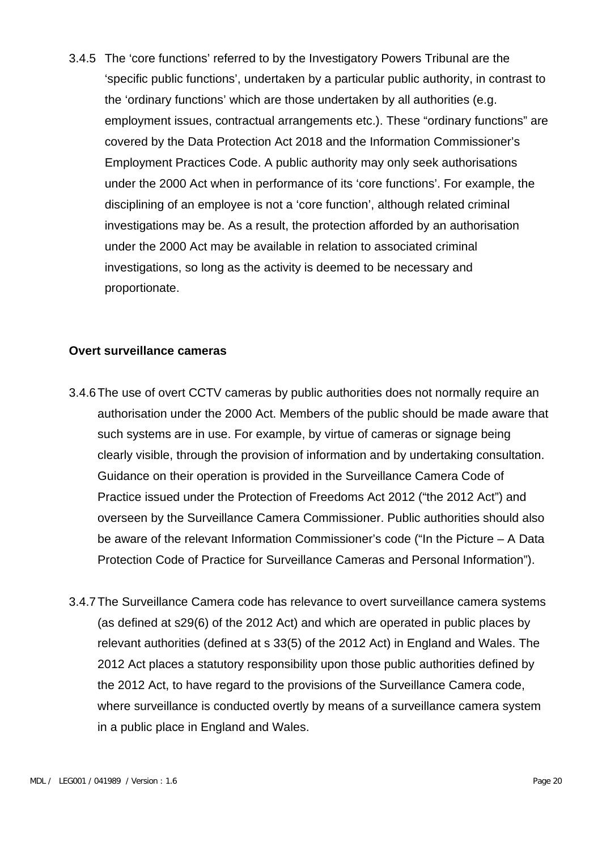3.4.5 The 'core functions' referred to by the Investigatory Powers Tribunal are the 'specific public functions', undertaken by a particular public authority, in contrast to the 'ordinary functions' which are those undertaken by all authorities (e.g. employment issues, contractual arrangements etc.). These "ordinary functions" are covered by the Data Protection Act 2018 and the Information Commissioner's Employment Practices Code. A public authority may only seek authorisations under the 2000 Act when in performance of its 'core functions'. For example, the disciplining of an employee is not a 'core function', although related criminal investigations may be. As a result, the protection afforded by an authorisation under the 2000 Act may be available in relation to associated criminal investigations, so long as the activity is deemed to be necessary and proportionate.

#### **Overt surveillance cameras**

- 3.4.6The use of overt CCTV cameras by public authorities does not normally require an authorisation under the 2000 Act. Members of the public should be made aware that such systems are in use. For example, by virtue of cameras or signage being clearly visible, through the provision of information and by undertaking consultation. Guidance on their operation is provided in the Surveillance Camera Code of Practice issued under the Protection of Freedoms Act 2012 ("the 2012 Act") and overseen by the Surveillance Camera Commissioner. Public authorities should also be aware of the relevant Information Commissioner's code ("In the Picture – A Data Protection Code of Practice for Surveillance Cameras and Personal Information").
- 3.4.7The Surveillance Camera code has relevance to overt surveillance camera systems (as defined at s29(6) of the 2012 Act) and which are operated in public places by relevant authorities (defined at s 33(5) of the 2012 Act) in England and Wales. The 2012 Act places a statutory responsibility upon those public authorities defined by the 2012 Act, to have regard to the provisions of the Surveillance Camera code, where surveillance is conducted overtly by means of a surveillance camera system in a public place in England and Wales.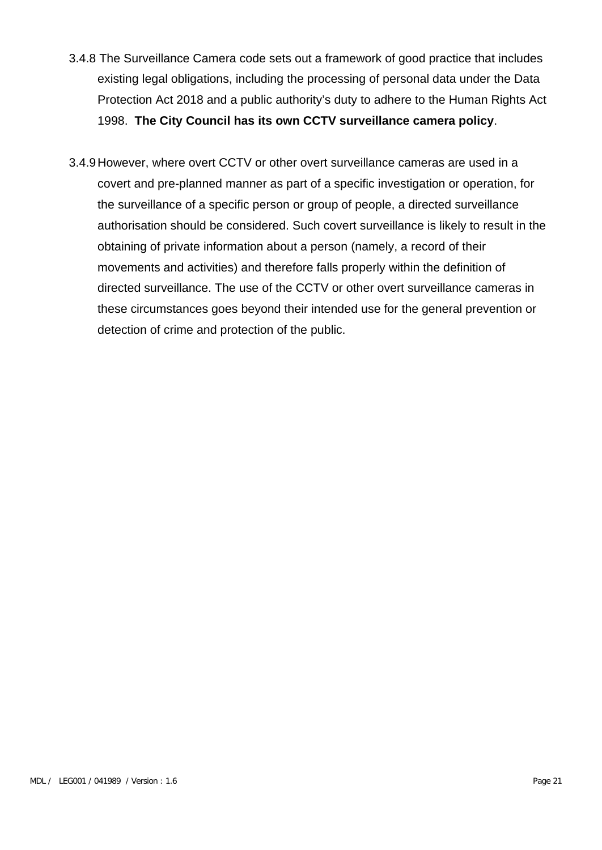- 3.4.8 The Surveillance Camera code sets out a framework of good practice that includes existing legal obligations, including the processing of personal data under the Data Protection Act 2018 and a public authority's duty to adhere to the Human Rights Act 1998. **The City Council has its own CCTV surveillance camera policy**.
- 3.4.9However, where overt CCTV or other overt surveillance cameras are used in a covert and pre-planned manner as part of a specific investigation or operation, for the surveillance of a specific person or group of people, a directed surveillance authorisation should be considered. Such covert surveillance is likely to result in the obtaining of private information about a person (namely, a record of their movements and activities) and therefore falls properly within the definition of directed surveillance. The use of the CCTV or other overt surveillance cameras in these circumstances goes beyond their intended use for the general prevention or detection of crime and protection of the public.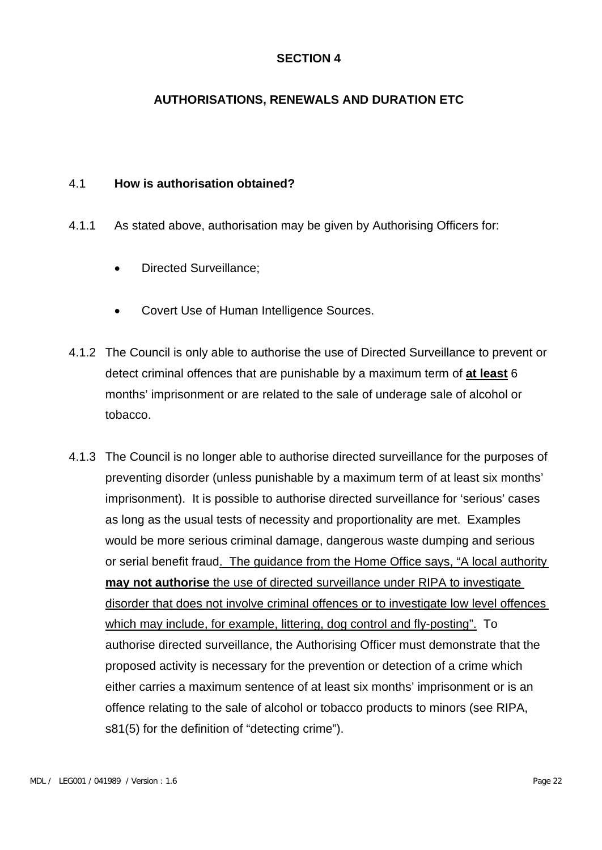### **AUTHORISATIONS, RENEWALS AND DURATION ETC**

#### 4.1 **How is authorisation obtained?**

- 4.1.1 As stated above, authorisation may be given by Authorising Officers for:
	- Directed Surveillance;
	- Covert Use of Human Intelligence Sources.
- 4.1.2 The Council is only able to authorise the use of Directed Surveillance to prevent or detect criminal offences that are punishable by a maximum term of **at least** 6 months' imprisonment or are related to the sale of underage sale of alcohol or tobacco.
- 4.1.3 The Council is no longer able to authorise directed surveillance for the purposes of preventing disorder (unless punishable by a maximum term of at least six months' imprisonment). It is possible to authorise directed surveillance for 'serious' cases as long as the usual tests of necessity and proportionality are met. Examples would be more serious criminal damage, dangerous waste dumping and serious or serial benefit fraud. The guidance from the Home Office says, "A local authority **may not authorise** the use of directed surveillance under RIPA to investigate disorder that does not involve criminal offences or to investigate low level offences which may include, for example, littering, dog control and fly-posting". To authorise directed surveillance, the Authorising Officer must demonstrate that the proposed activity is necessary for the prevention or detection of a crime which either carries a maximum sentence of at least six months' imprisonment or is an offence relating to the sale of alcohol or tobacco products to minors (see RIPA, s81(5) for the definition of "detecting crime").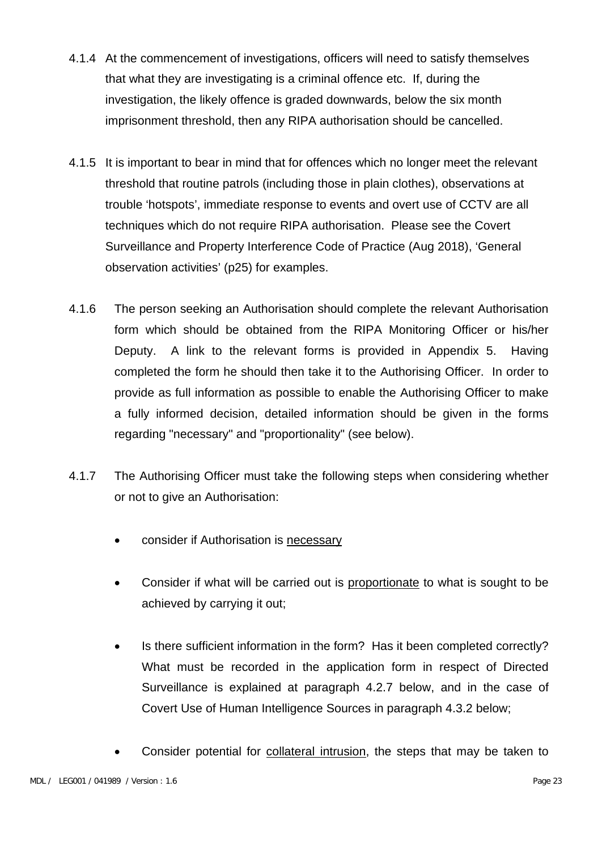- 4.1.4 At the commencement of investigations, officers will need to satisfy themselves that what they are investigating is a criminal offence etc. If, during the investigation, the likely offence is graded downwards, below the six month imprisonment threshold, then any RIPA authorisation should be cancelled.
- 4.1.5 It is important to bear in mind that for offences which no longer meet the relevant threshold that routine patrols (including those in plain clothes), observations at trouble 'hotspots', immediate response to events and overt use of CCTV are all techniques which do not require RIPA authorisation. Please see the Covert Surveillance and Property Interference Code of Practice (Aug 2018), 'General observation activities' (p25) for examples.
- 4.1.6 The person seeking an Authorisation should complete the relevant Authorisation form which should be obtained from the RIPA Monitoring Officer or his/her Deputy. A link to the relevant forms is provided in Appendix 5. Having completed the form he should then take it to the Authorising Officer. In order to provide as full information as possible to enable the Authorising Officer to make a fully informed decision, detailed information should be given in the forms regarding "necessary" and "proportionality" (see below).
- 4.1.7 The Authorising Officer must take the following steps when considering whether or not to give an Authorisation:
	- consider if Authorisation is necessary
	- Consider if what will be carried out is proportionate to what is sought to be achieved by carrying it out;
	- Is there sufficient information in the form? Has it been completed correctly? What must be recorded in the application form in respect of Directed Surveillance is explained at paragraph 4.2.7 below, and in the case of Covert Use of Human Intelligence Sources in paragraph 4.3.2 below;
	- Consider potential for collateral intrusion, the steps that may be taken to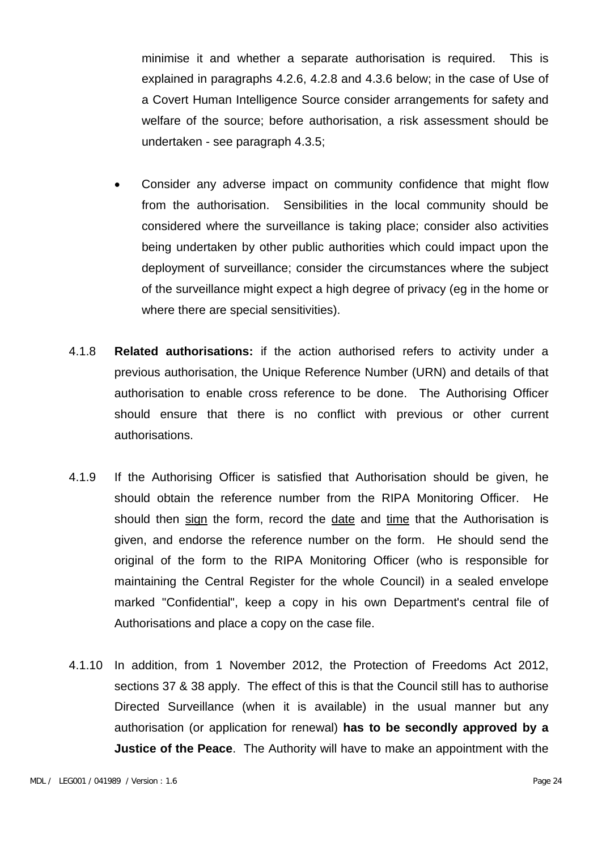minimise it and whether a separate authorisation is required. This is explained in paragraphs 4.2.6, 4.2.8 and 4.3.6 below; in the case of Use of a Covert Human Intelligence Source consider arrangements for safety and welfare of the source; before authorisation, a risk assessment should be undertaken - see paragraph 4.3.5;

- Consider any adverse impact on community confidence that might flow from the authorisation. Sensibilities in the local community should be considered where the surveillance is taking place; consider also activities being undertaken by other public authorities which could impact upon the deployment of surveillance; consider the circumstances where the subject of the surveillance might expect a high degree of privacy (eg in the home or where there are special sensitivities).
- 4.1.8 **Related authorisations:** if the action authorised refers to activity under a previous authorisation, the Unique Reference Number (URN) and details of that authorisation to enable cross reference to be done. The Authorising Officer should ensure that there is no conflict with previous or other current authorisations.
- 4.1.9 If the Authorising Officer is satisfied that Authorisation should be given, he should obtain the reference number from the RIPA Monitoring Officer. He should then sign the form, record the date and time that the Authorisation is given, and endorse the reference number on the form. He should send the original of the form to the RIPA Monitoring Officer (who is responsible for maintaining the Central Register for the whole Council) in a sealed envelope marked "Confidential", keep a copy in his own Department's central file of Authorisations and place a copy on the case file.
- 4.1.10 In addition, from 1 November 2012, the Protection of Freedoms Act 2012, sections 37 & 38 apply. The effect of this is that the Council still has to authorise Directed Surveillance (when it is available) in the usual manner but any authorisation (or application for renewal) **has to be secondly approved by a Justice of the Peace**. The Authority will have to make an appointment with the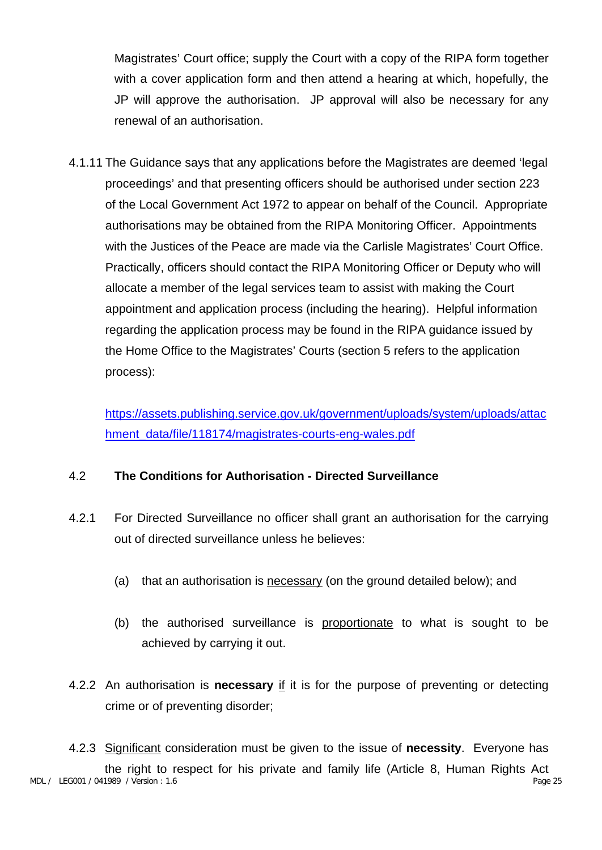Magistrates' Court office; supply the Court with a copy of the RIPA form together with a cover application form and then attend a hearing at which, hopefully, the JP will approve the authorisation. JP approval will also be necessary for any renewal of an authorisation.

4.1.11 The Guidance says that any applications before the Magistrates are deemed 'legal proceedings' and that presenting officers should be authorised under section 223 of the Local Government Act 1972 to appear on behalf of the Council. Appropriate authorisations may be obtained from the RIPA Monitoring Officer. Appointments with the Justices of the Peace are made via the Carlisle Magistrates' Court Office. Practically, officers should contact the RIPA Monitoring Officer or Deputy who will allocate a member of the legal services team to assist with making the Court appointment and application process (including the hearing). Helpful information regarding the application process may be found in the RIPA guidance issued by the Home Office to the Magistrates' Courts (section 5 refers to the application process):

[https://assets.publishing.service.gov.uk/government/uploads/system/uploads/attac](https://assets.publishing.service.gov.uk/government/uploads/system/uploads/attachment_data/file/118174/magistrates-courts-eng-wales.pdf) [hment\\_data/file/118174/magistrates-courts-eng-wales.pdf](https://assets.publishing.service.gov.uk/government/uploads/system/uploads/attachment_data/file/118174/magistrates-courts-eng-wales.pdf)

## 4.2 **The Conditions for Authorisation - Directed Surveillance**

- 4.2.1 For Directed Surveillance no officer shall grant an authorisation for the carrying out of directed surveillance unless he believes:
	- (a) that an authorisation is necessary (on the ground detailed below); and
	- (b) the authorised surveillance is proportionate to what is sought to be achieved by carrying it out.
- 4.2.2 An authorisation is **necessary** if it is for the purpose of preventing or detecting crime or of preventing disorder;

MDL / LEG001 / 041989 / Version : 1.6 Page 25 4.2.3 Significant consideration must be given to the issue of **necessity**. Everyone has the right to respect for his private and family life (Article 8, Human Rights Act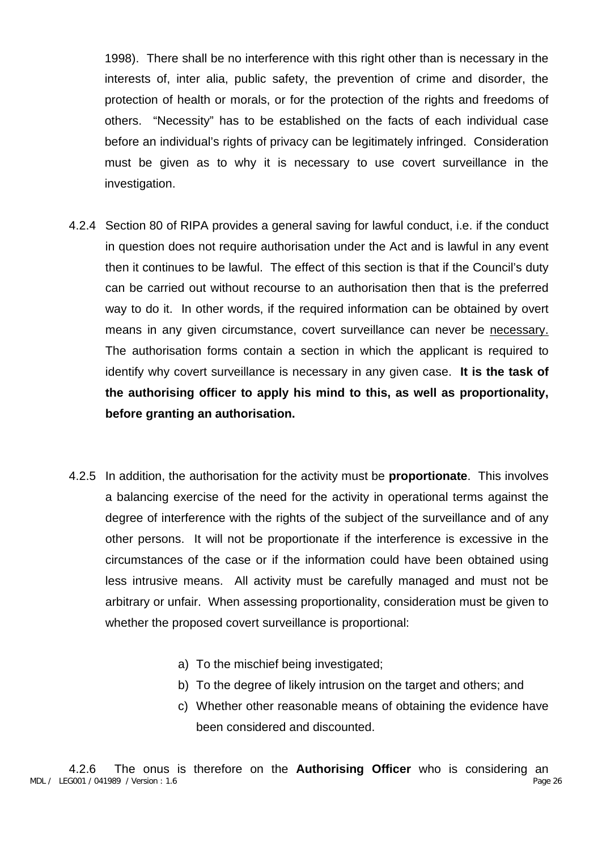1998). There shall be no interference with this right other than is necessary in the interests of, inter alia, public safety, the prevention of crime and disorder, the protection of health or morals, or for the protection of the rights and freedoms of others. "Necessity" has to be established on the facts of each individual case before an individual's rights of privacy can be legitimately infringed. Consideration must be given as to why it is necessary to use covert surveillance in the investigation.

- 4.2.4 Section 80 of RIPA provides a general saving for lawful conduct, i.e. if the conduct in question does not require authorisation under the Act and is lawful in any event then it continues to be lawful. The effect of this section is that if the Council's duty can be carried out without recourse to an authorisation then that is the preferred way to do it. In other words, if the required information can be obtained by overt means in any given circumstance, covert surveillance can never be necessary. The authorisation forms contain a section in which the applicant is required to identify why covert surveillance is necessary in any given case. **It is the task of the authorising officer to apply his mind to this, as well as proportionality, before granting an authorisation.**
- 4.2.5 In addition, the authorisation for the activity must be **proportionate**. This involves a balancing exercise of the need for the activity in operational terms against the degree of interference with the rights of the subject of the surveillance and of any other persons. It will not be proportionate if the interference is excessive in the circumstances of the case or if the information could have been obtained using less intrusive means. All activity must be carefully managed and must not be arbitrary or unfair. When assessing proportionality, consideration must be given to whether the proposed covert surveillance is proportional:
	- a) To the mischief being investigated;
	- b) To the degree of likely intrusion on the target and others; and
	- c) Whether other reasonable means of obtaining the evidence have been considered and discounted.

MDL / LEG001 / 041989 / Version : 1.6 Page 26 4.2.6 The onus is therefore on the **Authorising Officer** who is considering an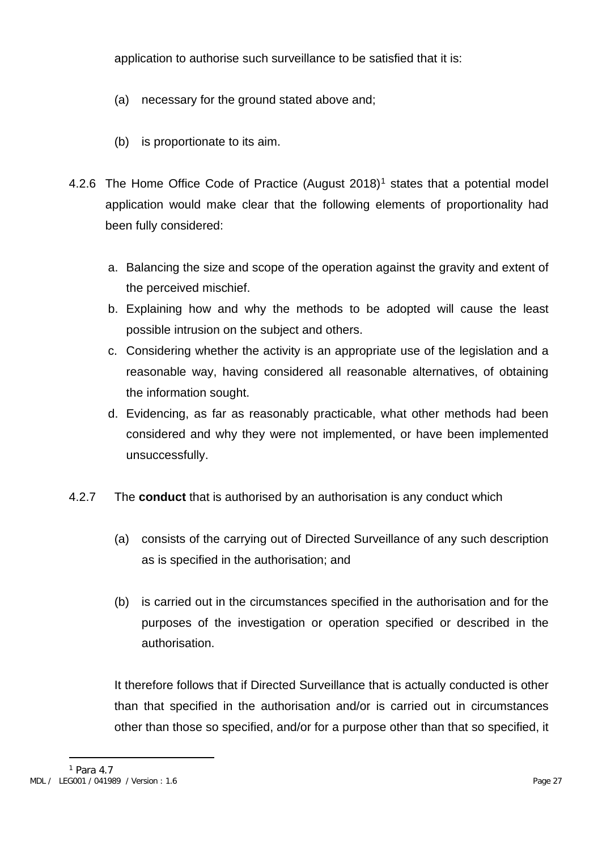application to authorise such surveillance to be satisfied that it is:

- (a) necessary for the ground stated above and;
- (b) is proportionate to its aim.
- 4.2.6 The Home Office Code of Practice (August 20[1](#page-35-0)8)<sup>1</sup> states that a potential model application would make clear that the following elements of proportionality had been fully considered:
	- a. Balancing the size and scope of the operation against the gravity and extent of the perceived mischief.
	- b. Explaining how and why the methods to be adopted will cause the least possible intrusion on the subject and others.
	- c. Considering whether the activity is an appropriate use of the legislation and a reasonable way, having considered all reasonable alternatives, of obtaining the information sought.
	- d. Evidencing, as far as reasonably practicable, what other methods had been considered and why they were not implemented, or have been implemented unsuccessfully.
- 4.2.7 The **conduct** that is authorised by an authorisation is any conduct which
	- (a) consists of the carrying out of Directed Surveillance of any such description as is specified in the authorisation; and
	- (b) is carried out in the circumstances specified in the authorisation and for the purposes of the investigation or operation specified or described in the authorisation.

<span id="page-35-0"></span>It therefore follows that if Directed Surveillance that is actually conducted is other than that specified in the authorisation and/or is carried out in circumstances other than those so specified, and/or for a purpose other than that so specified, it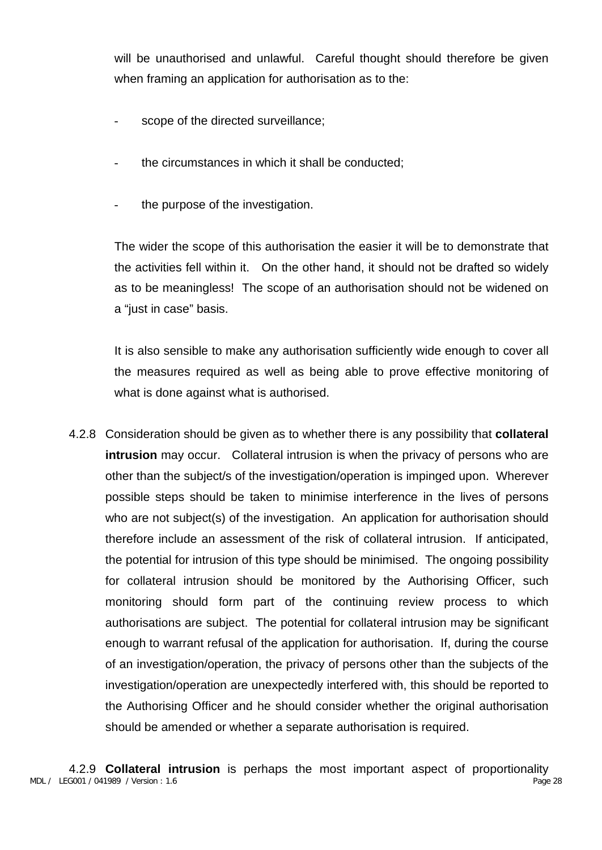will be unauthorised and unlawful. Careful thought should therefore be given when framing an application for authorisation as to the:

- scope of the directed surveillance;
- the circumstances in which it shall be conducted:
- the purpose of the investigation.

The wider the scope of this authorisation the easier it will be to demonstrate that the activities fell within it. On the other hand, it should not be drafted so widely as to be meaningless! The scope of an authorisation should not be widened on a "just in case" basis.

It is also sensible to make any authorisation sufficiently wide enough to cover all the measures required as well as being able to prove effective monitoring of what is done against what is authorised.

4.2.8 Consideration should be given as to whether there is any possibility that **collateral intrusion** may occur. Collateral intrusion is when the privacy of persons who are other than the subject/s of the investigation/operation is impinged upon. Wherever possible steps should be taken to minimise interference in the lives of persons who are not subject(s) of the investigation. An application for authorisation should therefore include an assessment of the risk of collateral intrusion. If anticipated, the potential for intrusion of this type should be minimised. The ongoing possibility for collateral intrusion should be monitored by the Authorising Officer, such monitoring should form part of the continuing review process to which authorisations are subject. The potential for collateral intrusion may be significant enough to warrant refusal of the application for authorisation. If, during the course of an investigation/operation, the privacy of persons other than the subjects of the investigation/operation are unexpectedly interfered with, this should be reported to the Authorising Officer and he should consider whether the original authorisation should be amended or whether a separate authorisation is required.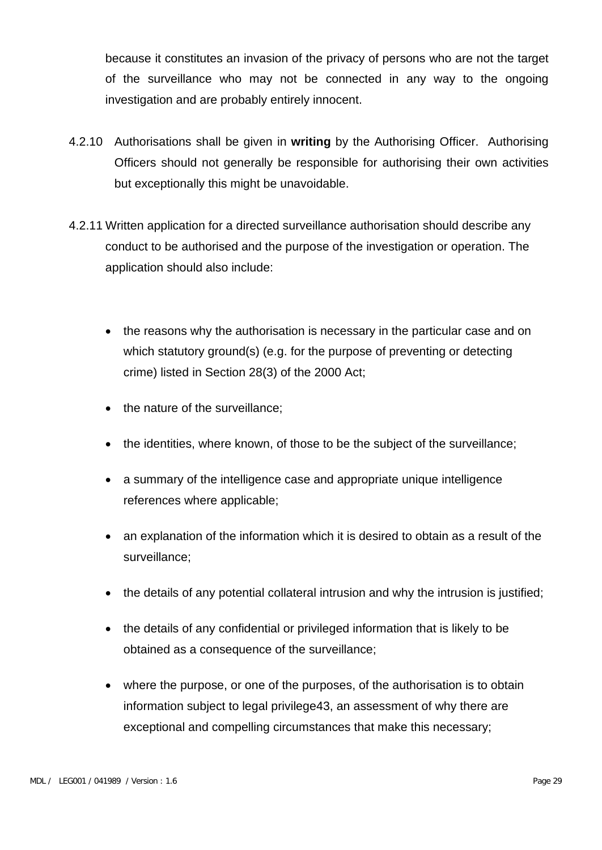because it constitutes an invasion of the privacy of persons who are not the target of the surveillance who may not be connected in any way to the ongoing investigation and are probably entirely innocent.

- 4.2.10 Authorisations shall be given in **writing** by the Authorising Officer. Authorising Officers should not generally be responsible for authorising their own activities but exceptionally this might be unavoidable.
- 4.2.11 Written application for a directed surveillance authorisation should describe any conduct to be authorised and the purpose of the investigation or operation. The application should also include:
	- the reasons why the authorisation is necessary in the particular case and on which statutory ground(s) (e.g. for the purpose of preventing or detecting crime) listed in Section 28(3) of the 2000 Act;
	- the nature of the surveillance;
	- the identities, where known, of those to be the subject of the surveillance;
	- a summary of the intelligence case and appropriate unique intelligence references where applicable;
	- an explanation of the information which it is desired to obtain as a result of the surveillance;
	- the details of any potential collateral intrusion and why the intrusion is justified;
	- the details of any confidential or privileged information that is likely to be obtained as a consequence of the surveillance;
	- where the purpose, or one of the purposes, of the authorisation is to obtain information subject to legal privilege43, an assessment of why there are exceptional and compelling circumstances that make this necessary;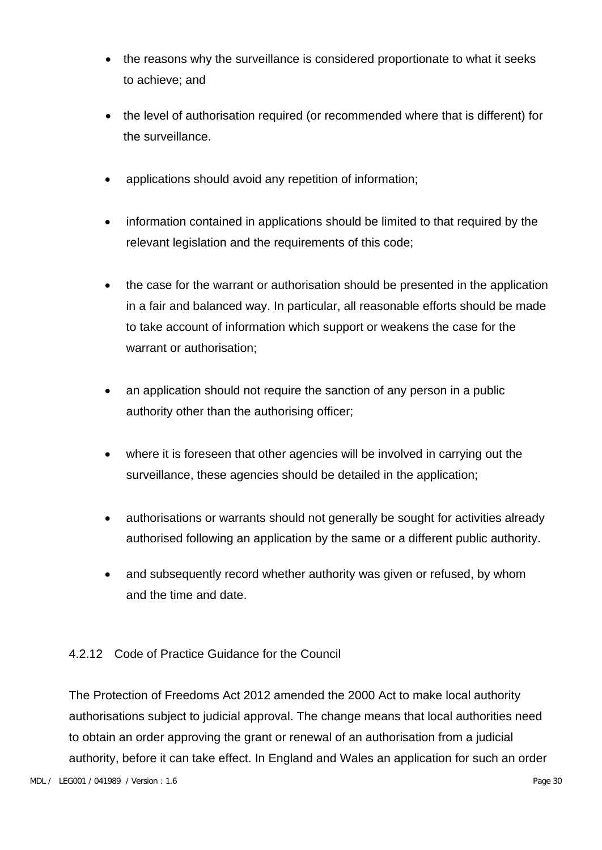- the reasons why the surveillance is considered proportionate to what it seeks to achieve; and
- the level of authorisation required (or recommended where that is different) for the surveillance.
- applications should avoid any repetition of information;
- information contained in applications should be limited to that required by the relevant legislation and the requirements of this code;
- the case for the warrant or authorisation should be presented in the application in a fair and balanced way. In particular, all reasonable efforts should be made to take account of information which support or weakens the case for the warrant or authorisation;
- an application should not require the sanction of any person in a public authority other than the authorising officer;
- where it is foreseen that other agencies will be involved in carrying out the surveillance, these agencies should be detailed in the application;
- authorisations or warrants should not generally be sought for activities already authorised following an application by the same or a different public authority.
- and subsequently record whether authority was given or refused, by whom and the time and date.

#### 4.2.12 Code of Practice Guidance for the Council

The Protection of Freedoms Act 2012 amended the 2000 Act to make local authority authorisations subject to judicial approval. The change means that local authorities need to obtain an order approving the grant or renewal of an authorisation from a judicial authority, before it can take effect. In England and Wales an application for such an order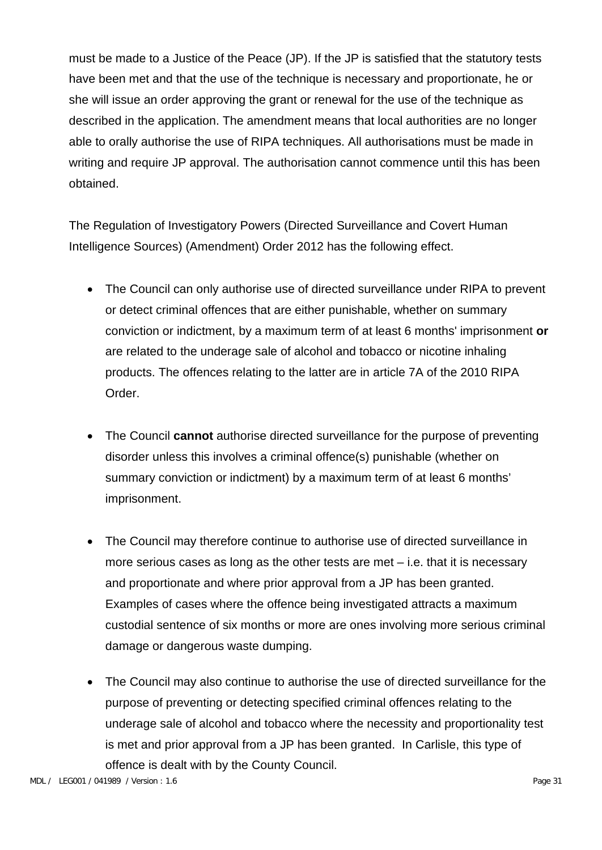must be made to a Justice of the Peace (JP). If the JP is satisfied that the statutory tests have been met and that the use of the technique is necessary and proportionate, he or she will issue an order approving the grant or renewal for the use of the technique as described in the application. The amendment means that local authorities are no longer able to orally authorise the use of RIPA techniques. All authorisations must be made in writing and require JP approval. The authorisation cannot commence until this has been obtained.

The Regulation of Investigatory Powers (Directed Surveillance and Covert Human Intelligence Sources) (Amendment) Order 2012 has the following effect.

- The Council can only authorise use of directed surveillance under RIPA to prevent or detect criminal offences that are either punishable, whether on summary conviction or indictment, by a maximum term of at least 6 months' imprisonment **or**  are related to the underage sale of alcohol and tobacco or nicotine inhaling products. The offences relating to the latter are in article 7A of the 2010 RIPA Order.
- The Council **cannot** authorise directed surveillance for the purpose of preventing disorder unless this involves a criminal offence(s) punishable (whether on summary conviction or indictment) by a maximum term of at least 6 months' imprisonment.
- The Council may therefore continue to authorise use of directed surveillance in more serious cases as long as the other tests are met – i.e. that it is necessary and proportionate and where prior approval from a JP has been granted. Examples of cases where the offence being investigated attracts a maximum custodial sentence of six months or more are ones involving more serious criminal damage or dangerous waste dumping.
- The Council may also continue to authorise the use of directed surveillance for the purpose of preventing or detecting specified criminal offences relating to the underage sale of alcohol and tobacco where the necessity and proportionality test is met and prior approval from a JP has been granted. In Carlisle, this type of offence is dealt with by the County Council.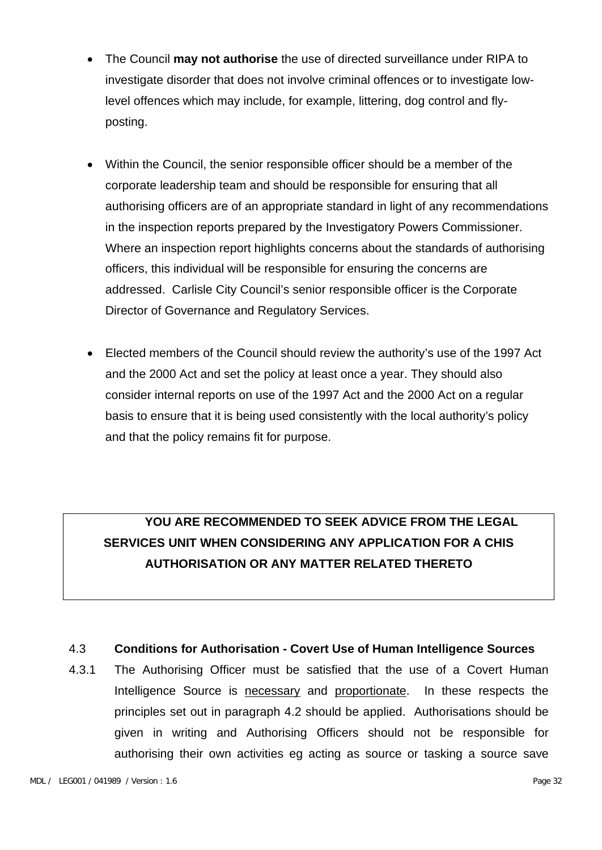- The Council **may not authorise** the use of directed surveillance under RIPA to investigate disorder that does not involve criminal offences or to investigate lowlevel offences which may include, for example, littering, dog control and flyposting.
- Within the Council, the senior responsible officer should be a member of the corporate leadership team and should be responsible for ensuring that all authorising officers are of an appropriate standard in light of any recommendations in the inspection reports prepared by the Investigatory Powers Commissioner. Where an inspection report highlights concerns about the standards of authorising officers, this individual will be responsible for ensuring the concerns are addressed. Carlisle City Council's senior responsible officer is the Corporate Director of Governance and Regulatory Services.
- Elected members of the Council should review the authority's use of the 1997 Act and the 2000 Act and set the policy at least once a year. They should also consider internal reports on use of the 1997 Act and the 2000 Act on a regular basis to ensure that it is being used consistently with the local authority's policy and that the policy remains fit for purpose.

## **YOU ARE RECOMMENDED TO SEEK ADVICE FROM THE LEGAL SERVICES UNIT WHEN CONSIDERING ANY APPLICATION FOR A CHIS AUTHORISATION OR ANY MATTER RELATED THERETO**

#### 4.3 **Conditions for Authorisation - Covert Use of Human Intelligence Sources**

4.3.1 The Authorising Officer must be satisfied that the use of a Covert Human Intelligence Source is necessary and proportionate. In these respects the principles set out in paragraph 4.2 should be applied. Authorisations should be given in writing and Authorising Officers should not be responsible for authorising their own activities eg acting as source or tasking a source save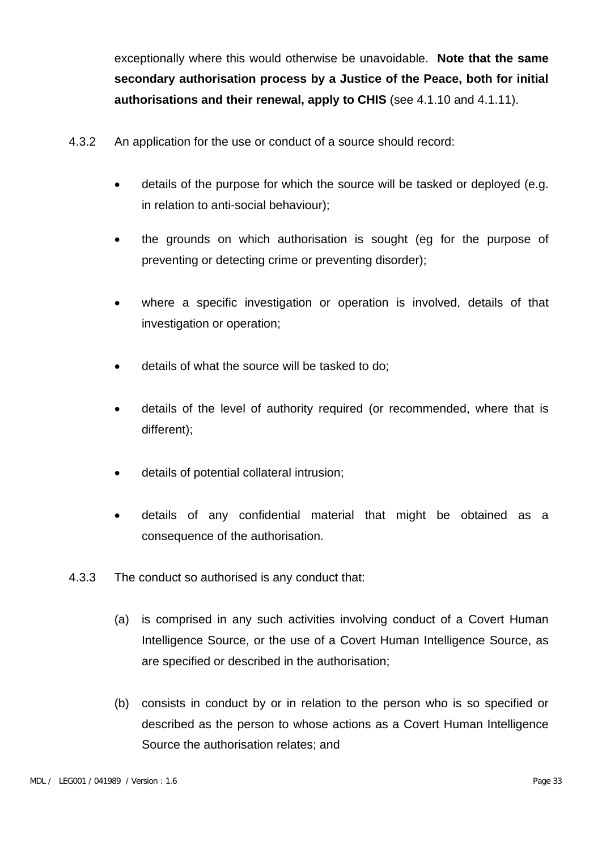exceptionally where this would otherwise be unavoidable. **Note that the same secondary authorisation process by a Justice of the Peace, both for initial authorisations and their renewal, apply to CHIS** (see 4.1.10 and 4.1.11).

- 4.3.2 An application for the use or conduct of a source should record:
	- details of the purpose for which the source will be tasked or deployed (e.g. in relation to anti-social behaviour);
	- the grounds on which authorisation is sought (eg for the purpose of preventing or detecting crime or preventing disorder);
	- where a specific investigation or operation is involved, details of that investigation or operation;
	- details of what the source will be tasked to do;
	- details of the level of authority required (or recommended, where that is different);
	- details of potential collateral intrusion;
	- details of any confidential material that might be obtained as a consequence of the authorisation.
- 4.3.3 The conduct so authorised is any conduct that:
	- (a) is comprised in any such activities involving conduct of a Covert Human Intelligence Source, or the use of a Covert Human Intelligence Source, as are specified or described in the authorisation;
	- (b) consists in conduct by or in relation to the person who is so specified or described as the person to whose actions as a Covert Human Intelligence Source the authorisation relates; and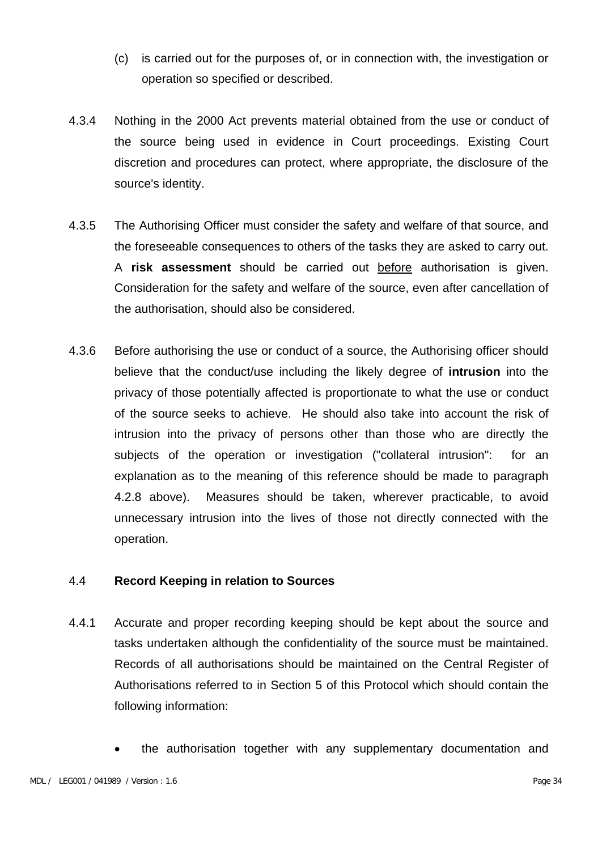- (c) is carried out for the purposes of, or in connection with, the investigation or operation so specified or described.
- 4.3.4 Nothing in the 2000 Act prevents material obtained from the use or conduct of the source being used in evidence in Court proceedings. Existing Court discretion and procedures can protect, where appropriate, the disclosure of the source's identity.
- 4.3.5 The Authorising Officer must consider the safety and welfare of that source, and the foreseeable consequences to others of the tasks they are asked to carry out. A **risk assessment** should be carried out before authorisation is given. Consideration for the safety and welfare of the source, even after cancellation of the authorisation, should also be considered.
- 4.3.6 Before authorising the use or conduct of a source, the Authorising officer should believe that the conduct/use including the likely degree of **intrusion** into the privacy of those potentially affected is proportionate to what the use or conduct of the source seeks to achieve. He should also take into account the risk of intrusion into the privacy of persons other than those who are directly the subjects of the operation or investigation ("collateral intrusion": for an explanation as to the meaning of this reference should be made to paragraph 4.2.8 above). Measures should be taken, wherever practicable, to avoid unnecessary intrusion into the lives of those not directly connected with the operation.

#### 4.4 **Record Keeping in relation to Sources**

- 4.4.1 Accurate and proper recording keeping should be kept about the source and tasks undertaken although the confidentiality of the source must be maintained. Records of all authorisations should be maintained on the Central Register of Authorisations referred to in Section 5 of this Protocol which should contain the following information:
	- the authorisation together with any supplementary documentation and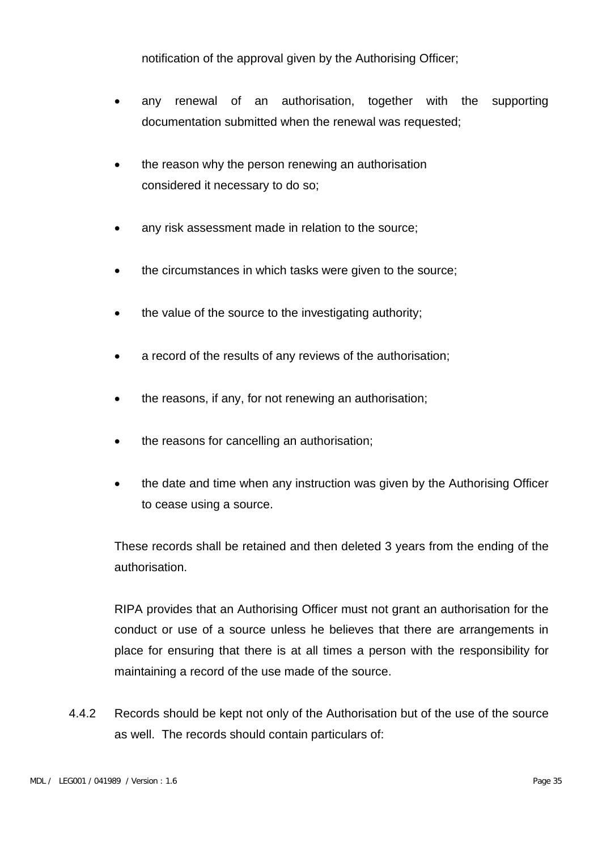notification of the approval given by the Authorising Officer;

- any renewal of an authorisation, together with the supporting documentation submitted when the renewal was requested;
- the reason why the person renewing an authorisation considered it necessary to do so;
- any risk assessment made in relation to the source;
- the circumstances in which tasks were given to the source;
- the value of the source to the investigating authority;
- a record of the results of any reviews of the authorisation;
- the reasons, if any, for not renewing an authorisation;
- the reasons for cancelling an authorisation;
- the date and time when any instruction was given by the Authorising Officer to cease using a source.

These records shall be retained and then deleted 3 years from the ending of the authorisation.

RIPA provides that an Authorising Officer must not grant an authorisation for the conduct or use of a source unless he believes that there are arrangements in place for ensuring that there is at all times a person with the responsibility for maintaining a record of the use made of the source.

4.4.2 Records should be kept not only of the Authorisation but of the use of the source as well. The records should contain particulars of: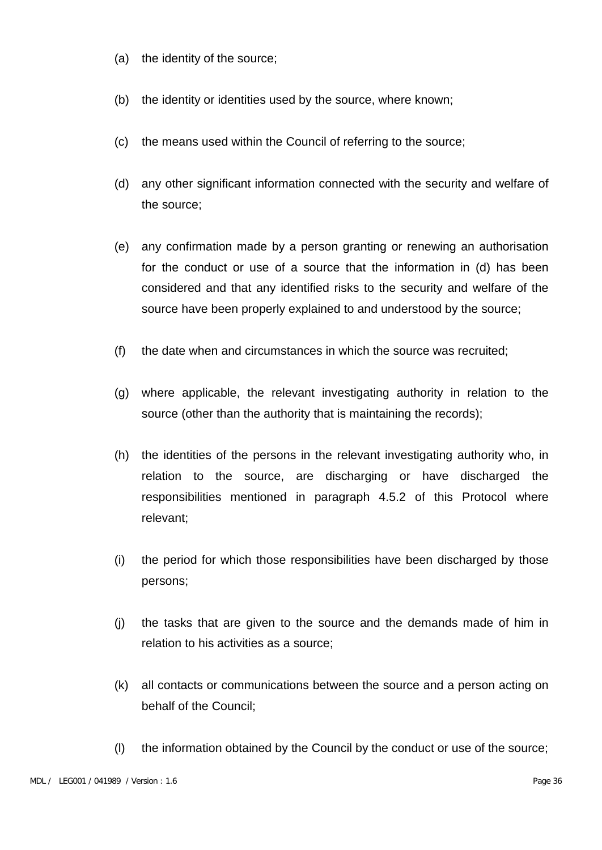- (a) the identity of the source;
- (b) the identity or identities used by the source, where known;
- (c) the means used within the Council of referring to the source;
- (d) any other significant information connected with the security and welfare of the source;
- (e) any confirmation made by a person granting or renewing an authorisation for the conduct or use of a source that the information in (d) has been considered and that any identified risks to the security and welfare of the source have been properly explained to and understood by the source;
- (f) the date when and circumstances in which the source was recruited;
- (g) where applicable, the relevant investigating authority in relation to the source (other than the authority that is maintaining the records);
- (h) the identities of the persons in the relevant investigating authority who, in relation to the source, are discharging or have discharged the responsibilities mentioned in paragraph 4.5.2 of this Protocol where relevant;
- (i) the period for which those responsibilities have been discharged by those persons;
- (j) the tasks that are given to the source and the demands made of him in relation to his activities as a source;
- (k) all contacts or communications between the source and a person acting on behalf of the Council;
- (l) the information obtained by the Council by the conduct or use of the source;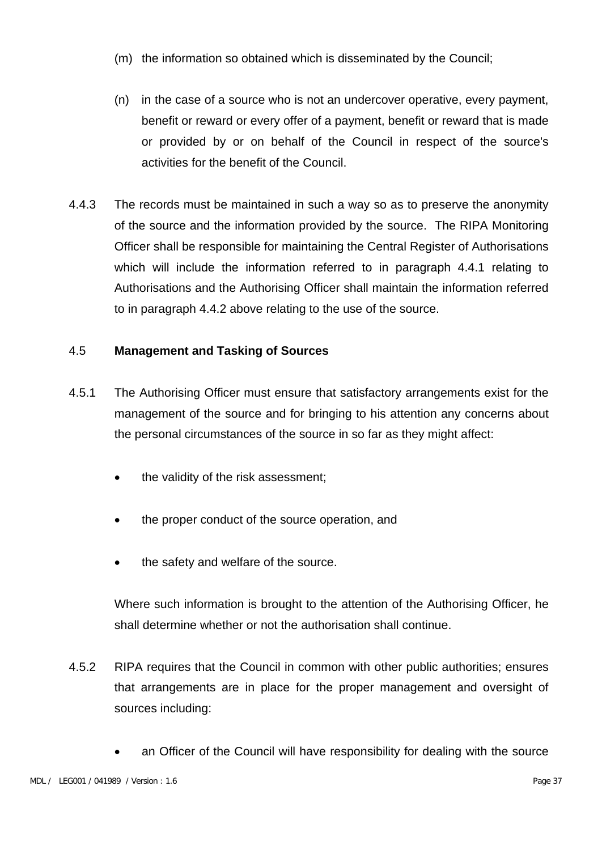- (m) the information so obtained which is disseminated by the Council;
- (n) in the case of a source who is not an undercover operative, every payment, benefit or reward or every offer of a payment, benefit or reward that is made or provided by or on behalf of the Council in respect of the source's activities for the benefit of the Council.
- 4.4.3 The records must be maintained in such a way so as to preserve the anonymity of the source and the information provided by the source. The RIPA Monitoring Officer shall be responsible for maintaining the Central Register of Authorisations which will include the information referred to in paragraph 4.4.1 relating to Authorisations and the Authorising Officer shall maintain the information referred to in paragraph 4.4.2 above relating to the use of the source.

#### 4.5 **Management and Tasking of Sources**

- 4.5.1 The Authorising Officer must ensure that satisfactory arrangements exist for the management of the source and for bringing to his attention any concerns about the personal circumstances of the source in so far as they might affect:
	- the validity of the risk assessment;
	- the proper conduct of the source operation, and
	- the safety and welfare of the source.

Where such information is brought to the attention of the Authorising Officer, he shall determine whether or not the authorisation shall continue.

- 4.5.2 RIPA requires that the Council in common with other public authorities; ensures that arrangements are in place for the proper management and oversight of sources including:
	- an Officer of the Council will have responsibility for dealing with the source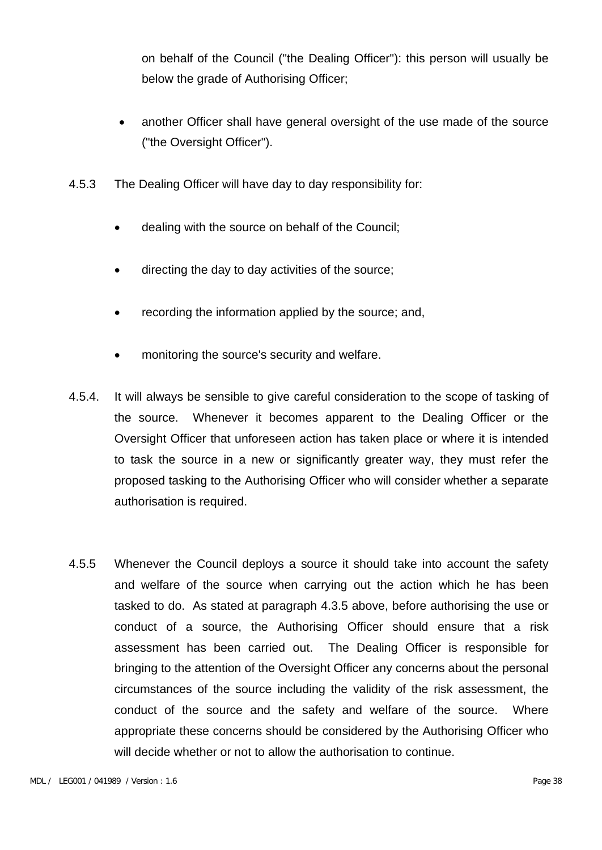on behalf of the Council ("the Dealing Officer"): this person will usually be below the grade of Authorising Officer;

- another Officer shall have general oversight of the use made of the source ("the Oversight Officer").
- 4.5.3 The Dealing Officer will have day to day responsibility for:
	- dealing with the source on behalf of the Council;
	- directing the day to day activities of the source;
	- recording the information applied by the source; and,
	- monitoring the source's security and welfare.
- 4.5.4. It will always be sensible to give careful consideration to the scope of tasking of the source. Whenever it becomes apparent to the Dealing Officer or the Oversight Officer that unforeseen action has taken place or where it is intended to task the source in a new or significantly greater way, they must refer the proposed tasking to the Authorising Officer who will consider whether a separate authorisation is required.
- 4.5.5 Whenever the Council deploys a source it should take into account the safety and welfare of the source when carrying out the action which he has been tasked to do. As stated at paragraph 4.3.5 above, before authorising the use or conduct of a source, the Authorising Officer should ensure that a risk assessment has been carried out. The Dealing Officer is responsible for bringing to the attention of the Oversight Officer any concerns about the personal circumstances of the source including the validity of the risk assessment, the conduct of the source and the safety and welfare of the source. Where appropriate these concerns should be considered by the Authorising Officer who will decide whether or not to allow the authorisation to continue.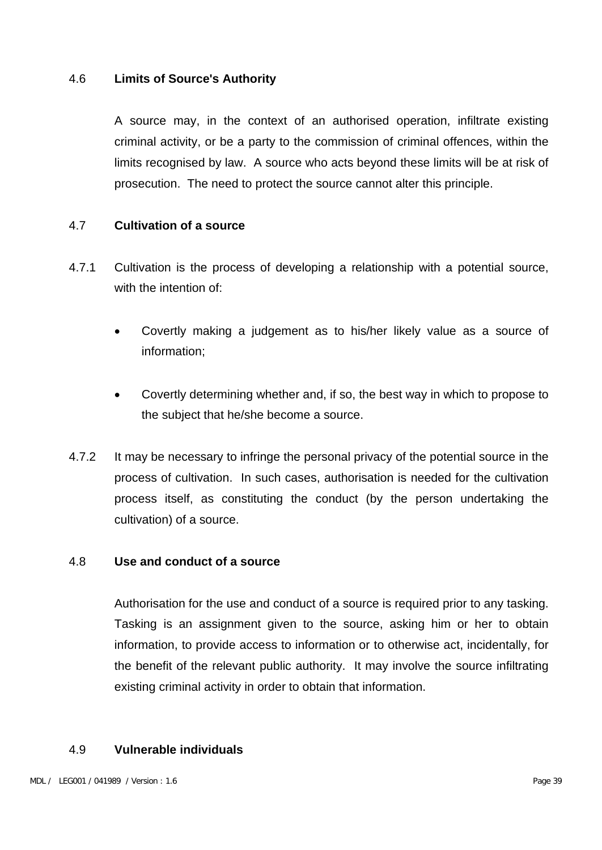#### 4.6 **Limits of Source's Authority**

A source may, in the context of an authorised operation, infiltrate existing criminal activity, or be a party to the commission of criminal offences, within the limits recognised by law. A source who acts beyond these limits will be at risk of prosecution. The need to protect the source cannot alter this principle.

#### 4.7 **Cultivation of a source**

- 4.7.1 Cultivation is the process of developing a relationship with a potential source, with the intention of:
	- Covertly making a judgement as to his/her likely value as a source of information;
	- Covertly determining whether and, if so, the best way in which to propose to the subject that he/she become a source.
- 4.7.2 It may be necessary to infringe the personal privacy of the potential source in the process of cultivation. In such cases, authorisation is needed for the cultivation process itself, as constituting the conduct (by the person undertaking the cultivation) of a source.

#### 4.8 **Use and conduct of a source**

Authorisation for the use and conduct of a source is required prior to any tasking. Tasking is an assignment given to the source, asking him or her to obtain information, to provide access to information or to otherwise act, incidentally, for the benefit of the relevant public authority. It may involve the source infiltrating existing criminal activity in order to obtain that information.

#### 4.9 **Vulnerable individuals**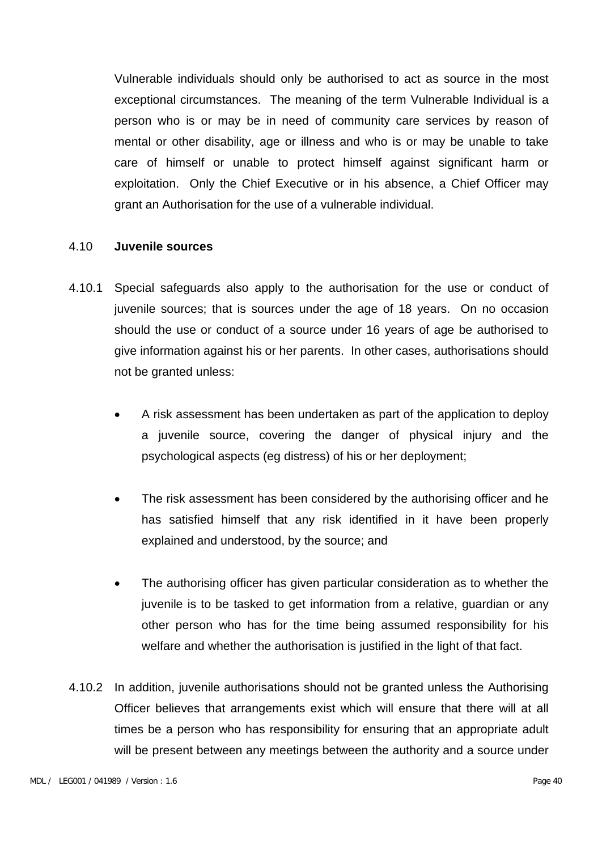Vulnerable individuals should only be authorised to act as source in the most exceptional circumstances. The meaning of the term Vulnerable Individual is a person who is or may be in need of community care services by reason of mental or other disability, age or illness and who is or may be unable to take care of himself or unable to protect himself against significant harm or exploitation. Only the Chief Executive or in his absence, a Chief Officer may grant an Authorisation for the use of a vulnerable individual.

#### 4.10 **Juvenile sources**

- 4.10.1 Special safeguards also apply to the authorisation for the use or conduct of juvenile sources; that is sources under the age of 18 years. On no occasion should the use or conduct of a source under 16 years of age be authorised to give information against his or her parents. In other cases, authorisations should not be granted unless:
	- A risk assessment has been undertaken as part of the application to deploy a juvenile source, covering the danger of physical injury and the psychological aspects (eg distress) of his or her deployment;
	- The risk assessment has been considered by the authorising officer and he has satisfied himself that any risk identified in it have been properly explained and understood, by the source; and
	- The authorising officer has given particular consideration as to whether the juvenile is to be tasked to get information from a relative, guardian or any other person who has for the time being assumed responsibility for his welfare and whether the authorisation is justified in the light of that fact.
- 4.10.2 In addition, juvenile authorisations should not be granted unless the Authorising Officer believes that arrangements exist which will ensure that there will at all times be a person who has responsibility for ensuring that an appropriate adult will be present between any meetings between the authority and a source under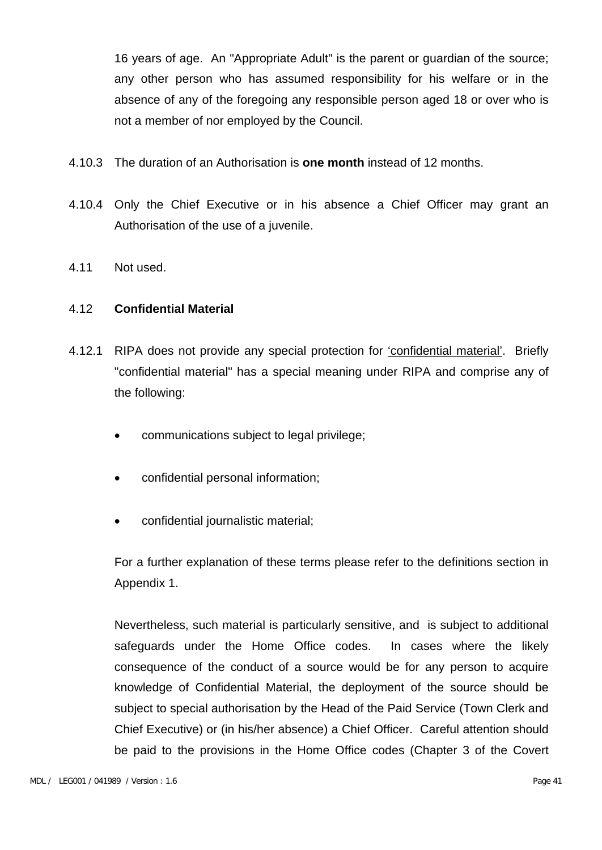16 years of age. An "Appropriate Adult" is the parent or guardian of the source; any other person who has assumed responsibility for his welfare or in the absence of any of the foregoing any responsible person aged 18 or over who is not a member of nor employed by the Council.

- 4.10.3 The duration of an Authorisation is **one month** instead of 12 months.
- 4.10.4 Only the Chief Executive or in his absence a Chief Officer may grant an Authorisation of the use of a juvenile.
- 4.11 Not used.

#### 4.12 **Confidential Material**

- 4.12.1 RIPA does not provide any special protection for 'confidential material'. Briefly "confidential material" has a special meaning under RIPA and comprise any of the following:
	- communications subject to legal privilege;
	- confidential personal information;
	- confidential journalistic material;

For a further explanation of these terms please refer to the definitions section in Appendix 1.

Nevertheless, such material is particularly sensitive, and is subject to additional safeguards under the Home Office codes. In cases where the likely consequence of the conduct of a source would be for any person to acquire knowledge of Confidential Material, the deployment of the source should be subject to special authorisation by the Head of the Paid Service (Town Clerk and Chief Executive) or (in his/her absence) a Chief Officer. Careful attention should be paid to the provisions in the Home Office codes (Chapter 3 of the Covert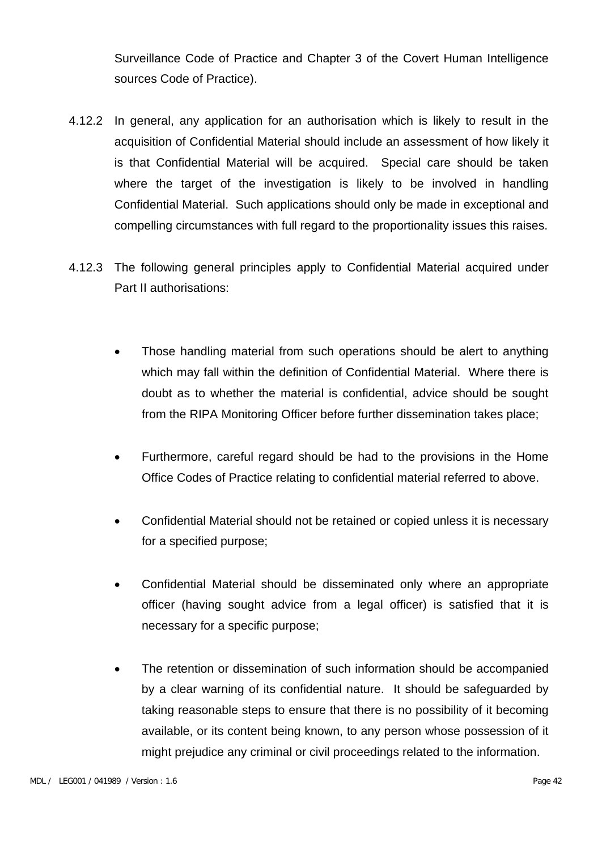Surveillance Code of Practice and Chapter 3 of the Covert Human Intelligence sources Code of Practice).

- 4.12.2 In general, any application for an authorisation which is likely to result in the acquisition of Confidential Material should include an assessment of how likely it is that Confidential Material will be acquired. Special care should be taken where the target of the investigation is likely to be involved in handling Confidential Material. Such applications should only be made in exceptional and compelling circumstances with full regard to the proportionality issues this raises.
- 4.12.3 The following general principles apply to Confidential Material acquired under Part II authorisations:
	- Those handling material from such operations should be alert to anything which may fall within the definition of Confidential Material. Where there is doubt as to whether the material is confidential, advice should be sought from the RIPA Monitoring Officer before further dissemination takes place;
	- Furthermore, careful regard should be had to the provisions in the Home Office Codes of Practice relating to confidential material referred to above.
	- Confidential Material should not be retained or copied unless it is necessary for a specified purpose;
	- Confidential Material should be disseminated only where an appropriate officer (having sought advice from a legal officer) is satisfied that it is necessary for a specific purpose;
	- The retention or dissemination of such information should be accompanied by a clear warning of its confidential nature. It should be safeguarded by taking reasonable steps to ensure that there is no possibility of it becoming available, or its content being known, to any person whose possession of it might prejudice any criminal or civil proceedings related to the information.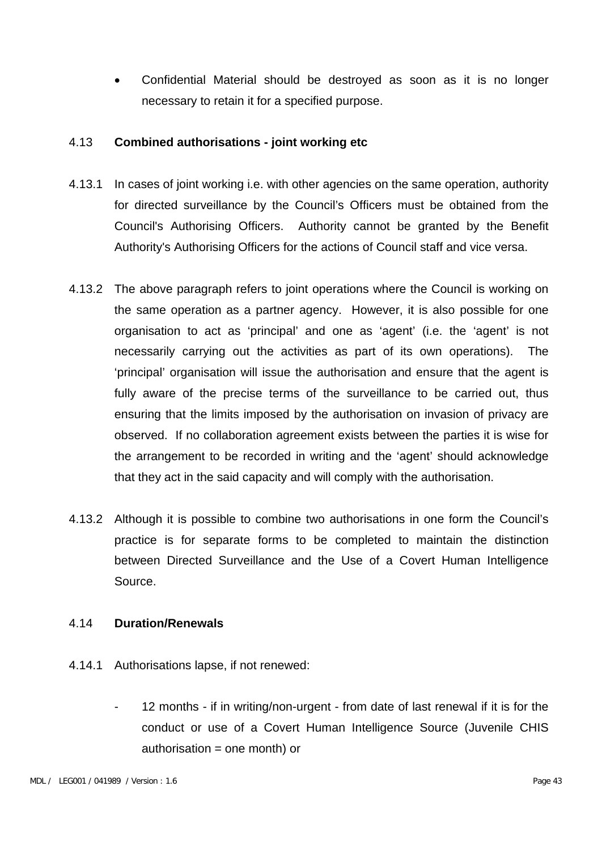• Confidential Material should be destroyed as soon as it is no longer necessary to retain it for a specified purpose.

#### 4.13 **Combined authorisations - joint working etc**

- 4.13.1 In cases of joint working i.e. with other agencies on the same operation, authority for directed surveillance by the Council's Officers must be obtained from the Council's Authorising Officers. Authority cannot be granted by the Benefit Authority's Authorising Officers for the actions of Council staff and vice versa.
- 4.13.2 The above paragraph refers to joint operations where the Council is working on the same operation as a partner agency. However, it is also possible for one organisation to act as 'principal' and one as 'agent' (i.e. the 'agent' is not necessarily carrying out the activities as part of its own operations). The 'principal' organisation will issue the authorisation and ensure that the agent is fully aware of the precise terms of the surveillance to be carried out, thus ensuring that the limits imposed by the authorisation on invasion of privacy are observed. If no collaboration agreement exists between the parties it is wise for the arrangement to be recorded in writing and the 'agent' should acknowledge that they act in the said capacity and will comply with the authorisation.
- 4.13.2 Although it is possible to combine two authorisations in one form the Council's practice is for separate forms to be completed to maintain the distinction between Directed Surveillance and the Use of a Covert Human Intelligence Source.

#### 4.14 **Duration/Renewals**

- 4.14.1 Authorisations lapse, if not renewed:
	- 12 months if in writing/non-urgent from date of last renewal if it is for the conduct or use of a Covert Human Intelligence Source (Juvenile CHIS  $authorisation = one month)$  or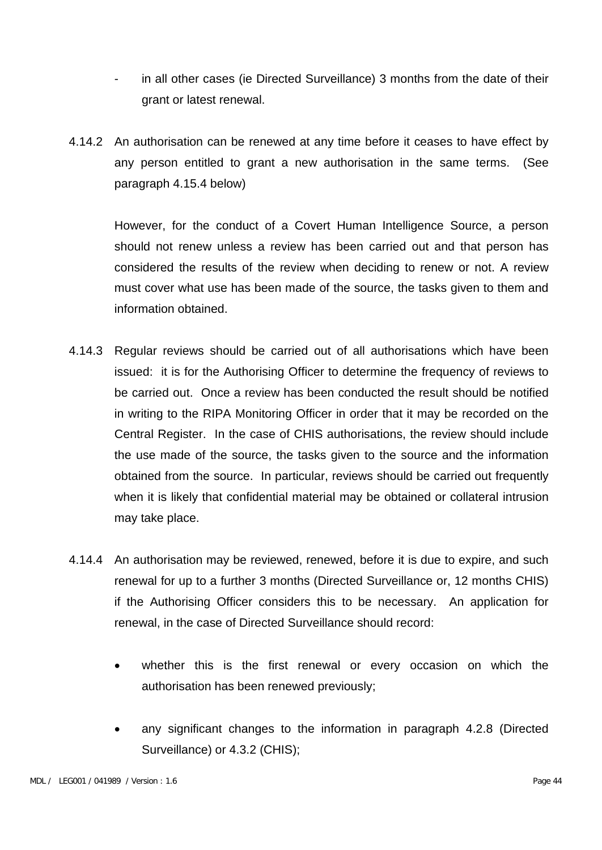- in all other cases (ie Directed Surveillance) 3 months from the date of their grant or latest renewal.
- 4.14.2 An authorisation can be renewed at any time before it ceases to have effect by any person entitled to grant a new authorisation in the same terms. (See paragraph 4.15.4 below)

However, for the conduct of a Covert Human Intelligence Source, a person should not renew unless a review has been carried out and that person has considered the results of the review when deciding to renew or not. A review must cover what use has been made of the source, the tasks given to them and information obtained.

- 4.14.3 Regular reviews should be carried out of all authorisations which have been issued: it is for the Authorising Officer to determine the frequency of reviews to be carried out. Once a review has been conducted the result should be notified in writing to the RIPA Monitoring Officer in order that it may be recorded on the Central Register. In the case of CHIS authorisations, the review should include the use made of the source, the tasks given to the source and the information obtained from the source. In particular, reviews should be carried out frequently when it is likely that confidential material may be obtained or collateral intrusion may take place.
- 4.14.4 An authorisation may be reviewed, renewed, before it is due to expire, and such renewal for up to a further 3 months (Directed Surveillance or, 12 months CHIS) if the Authorising Officer considers this to be necessary. An application for renewal, in the case of Directed Surveillance should record:
	- whether this is the first renewal or every occasion on which the authorisation has been renewed previously;
	- any significant changes to the information in paragraph 4.2.8 (Directed Surveillance) or 4.3.2 (CHIS);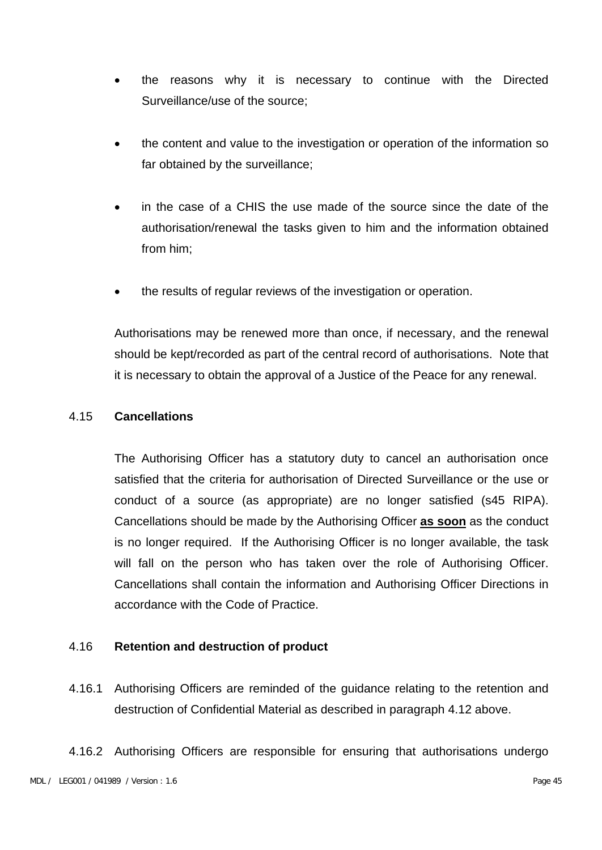- the reasons why it is necessary to continue with the Directed Surveillance/use of the source;
- the content and value to the investigation or operation of the information so far obtained by the surveillance;
- in the case of a CHIS the use made of the source since the date of the authorisation/renewal the tasks given to him and the information obtained from him;
- the results of regular reviews of the investigation or operation.

Authorisations may be renewed more than once, if necessary, and the renewal should be kept/recorded as part of the central record of authorisations. Note that it is necessary to obtain the approval of a Justice of the Peace for any renewal.

#### 4.15 **Cancellations**

The Authorising Officer has a statutory duty to cancel an authorisation once satisfied that the criteria for authorisation of Directed Surveillance or the use or conduct of a source (as appropriate) are no longer satisfied (s45 RIPA). Cancellations should be made by the Authorising Officer **as soon** as the conduct is no longer required. If the Authorising Officer is no longer available, the task will fall on the person who has taken over the role of Authorising Officer. Cancellations shall contain the information and Authorising Officer Directions in accordance with the Code of Practice.

#### 4.16 **Retention and destruction of product**

4.16.1 Authorising Officers are reminded of the guidance relating to the retention and destruction of Confidential Material as described in paragraph 4.12 above.

4.16.2 Authorising Officers are responsible for ensuring that authorisations undergo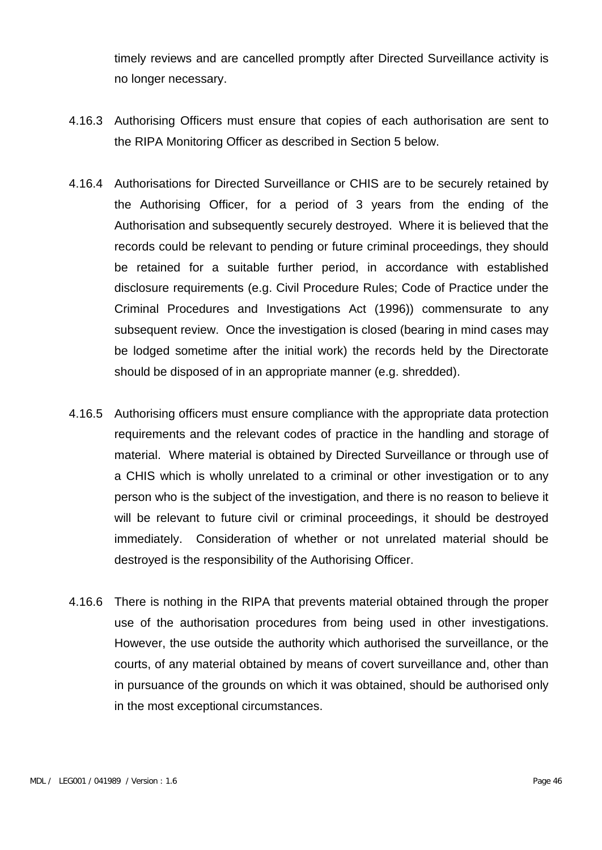timely reviews and are cancelled promptly after Directed Surveillance activity is no longer necessary.

- 4.16.3 Authorising Officers must ensure that copies of each authorisation are sent to the RIPA Monitoring Officer as described in Section 5 below.
- 4.16.4 Authorisations for Directed Surveillance or CHIS are to be securely retained by the Authorising Officer, for a period of 3 years from the ending of the Authorisation and subsequently securely destroyed. Where it is believed that the records could be relevant to pending or future criminal proceedings, they should be retained for a suitable further period, in accordance with established disclosure requirements (e.g. Civil Procedure Rules; Code of Practice under the Criminal Procedures and Investigations Act (1996)) commensurate to any subsequent review. Once the investigation is closed (bearing in mind cases may be lodged sometime after the initial work) the records held by the Directorate should be disposed of in an appropriate manner (e.g. shredded).
- 4.16.5 Authorising officers must ensure compliance with the appropriate data protection requirements and the relevant codes of practice in the handling and storage of material. Where material is obtained by Directed Surveillance or through use of a CHIS which is wholly unrelated to a criminal or other investigation or to any person who is the subject of the investigation, and there is no reason to believe it will be relevant to future civil or criminal proceedings, it should be destroyed immediately. Consideration of whether or not unrelated material should be destroyed is the responsibility of the Authorising Officer.
- 4.16.6 There is nothing in the RIPA that prevents material obtained through the proper use of the authorisation procedures from being used in other investigations. However, the use outside the authority which authorised the surveillance, or the courts, of any material obtained by means of covert surveillance and, other than in pursuance of the grounds on which it was obtained, should be authorised only in the most exceptional circumstances.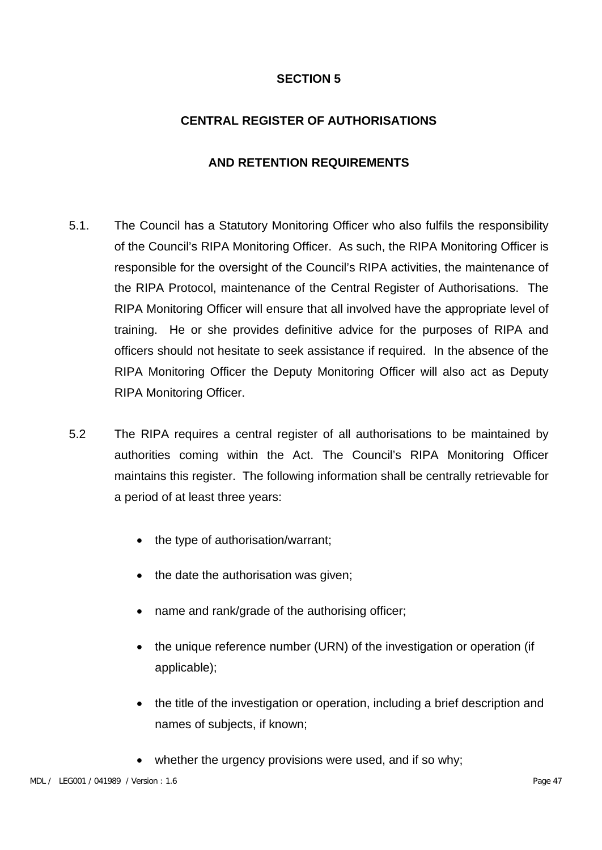## **CENTRAL REGISTER OF AUTHORISATIONS**

## **AND RETENTION REQUIREMENTS**

- 5.1. The Council has a Statutory Monitoring Officer who also fulfils the responsibility of the Council's RIPA Monitoring Officer. As such, the RIPA Monitoring Officer is responsible for the oversight of the Council's RIPA activities, the maintenance of the RIPA Protocol, maintenance of the Central Register of Authorisations. The RIPA Monitoring Officer will ensure that all involved have the appropriate level of training. He or she provides definitive advice for the purposes of RIPA and officers should not hesitate to seek assistance if required. In the absence of the RIPA Monitoring Officer the Deputy Monitoring Officer will also act as Deputy RIPA Monitoring Officer.
- 5.2 The RIPA requires a central register of all authorisations to be maintained by authorities coming within the Act. The Council's RIPA Monitoring Officer maintains this register. The following information shall be centrally retrievable for a period of at least three years:
	- the type of authorisation/warrant;
	- the date the authorisation was given;
	- name and rank/grade of the authorising officer;
	- the unique reference number (URN) of the investigation or operation (if applicable);
	- the title of the investigation or operation, including a brief description and names of subjects, if known;
	- whether the urgency provisions were used, and if so why;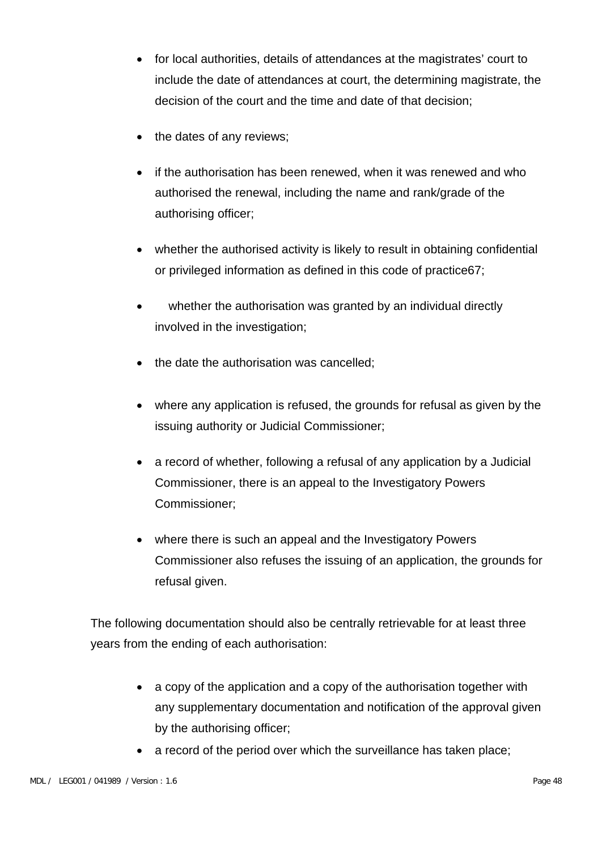- for local authorities, details of attendances at the magistrates' court to include the date of attendances at court, the determining magistrate, the decision of the court and the time and date of that decision;
- the dates of any reviews;
- if the authorisation has been renewed, when it was renewed and who authorised the renewal, including the name and rank/grade of the authorising officer;
- whether the authorised activity is likely to result in obtaining confidential or privileged information as defined in this code of practice67;
- whether the authorisation was granted by an individual directly involved in the investigation;
- the date the authorisation was cancelled;
- where any application is refused, the grounds for refusal as given by the issuing authority or Judicial Commissioner;
- a record of whether, following a refusal of any application by a Judicial Commissioner, there is an appeal to the Investigatory Powers Commissioner;
- where there is such an appeal and the Investigatory Powers Commissioner also refuses the issuing of an application, the grounds for refusal given.

The following documentation should also be centrally retrievable for at least three years from the ending of each authorisation:

- a copy of the application and a copy of the authorisation together with any supplementary documentation and notification of the approval given by the authorising officer;
- a record of the period over which the surveillance has taken place;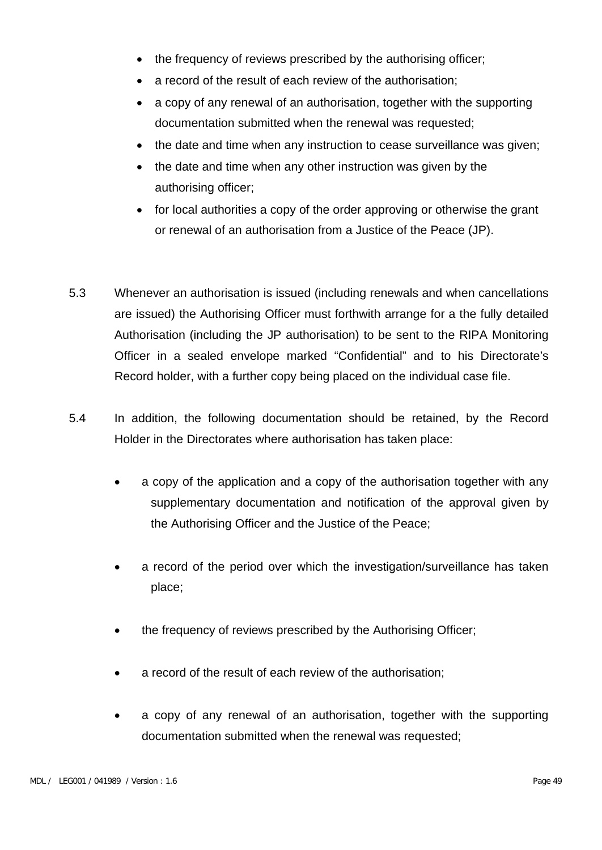- the frequency of reviews prescribed by the authorising officer;
- a record of the result of each review of the authorisation;
- a copy of any renewal of an authorisation, together with the supporting documentation submitted when the renewal was requested;
- the date and time when any instruction to cease surveillance was given;
- the date and time when any other instruction was given by the authorising officer;
- for local authorities a copy of the order approving or otherwise the grant or renewal of an authorisation from a Justice of the Peace (JP).
- 5.3 Whenever an authorisation is issued (including renewals and when cancellations are issued) the Authorising Officer must forthwith arrange for a the fully detailed Authorisation (including the JP authorisation) to be sent to the RIPA Monitoring Officer in a sealed envelope marked "Confidential" and to his Directorate's Record holder, with a further copy being placed on the individual case file.
- 5.4 In addition, the following documentation should be retained, by the Record Holder in the Directorates where authorisation has taken place:
	- a copy of the application and a copy of the authorisation together with any supplementary documentation and notification of the approval given by the Authorising Officer and the Justice of the Peace;
	- a record of the period over which the investigation/surveillance has taken place;
	- the frequency of reviews prescribed by the Authorising Officer;
	- a record of the result of each review of the authorisation;
	- a copy of any renewal of an authorisation, together with the supporting documentation submitted when the renewal was requested;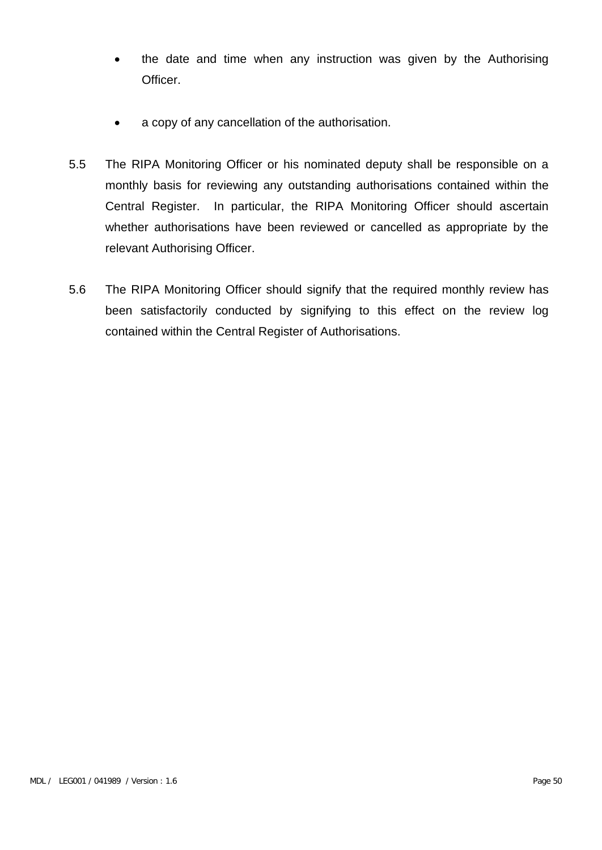- the date and time when any instruction was given by the Authorising Officer.
- a copy of any cancellation of the authorisation.
- 5.5 The RIPA Monitoring Officer or his nominated deputy shall be responsible on a monthly basis for reviewing any outstanding authorisations contained within the Central Register. In particular, the RIPA Monitoring Officer should ascertain whether authorisations have been reviewed or cancelled as appropriate by the relevant Authorising Officer.
- 5.6 The RIPA Monitoring Officer should signify that the required monthly review has been satisfactorily conducted by signifying to this effect on the review log contained within the Central Register of Authorisations.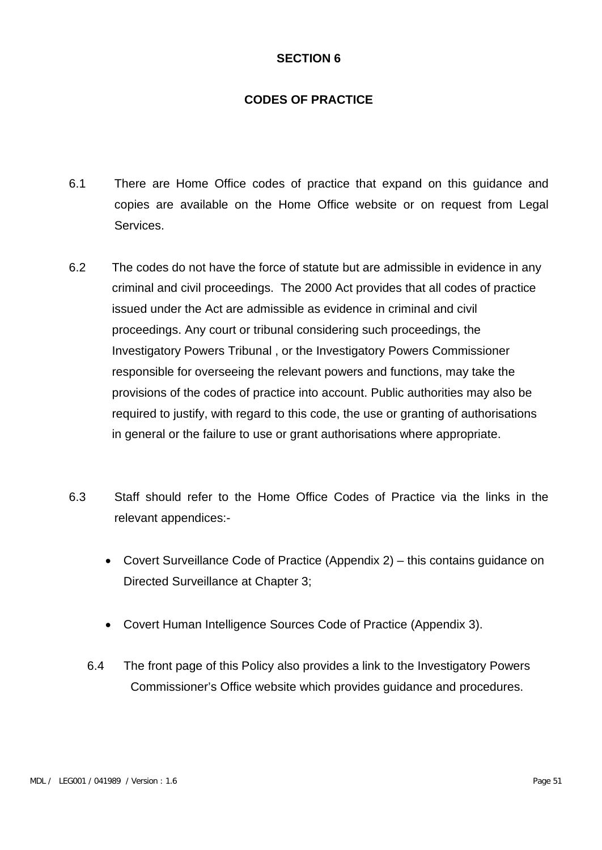## **CODES OF PRACTICE**

- 6.1 There are Home Office codes of practice that expand on this guidance and copies are available on the Home Office website or on request from Legal Services.
- 6.2 The codes do not have the force of statute but are admissible in evidence in any criminal and civil proceedings. The 2000 Act provides that all codes of practice issued under the Act are admissible as evidence in criminal and civil proceedings. Any court or tribunal considering such proceedings, the Investigatory Powers Tribunal , or the Investigatory Powers Commissioner responsible for overseeing the relevant powers and functions, may take the provisions of the codes of practice into account. Public authorities may also be required to justify, with regard to this code, the use or granting of authorisations in general or the failure to use or grant authorisations where appropriate.
- 6.3 Staff should refer to the Home Office Codes of Practice via the links in the relevant appendices:-
	- Covert Surveillance Code of Practice (Appendix 2) this contains guidance on Directed Surveillance at Chapter 3;
	- Covert Human Intelligence Sources Code of Practice (Appendix 3).
	- 6.4 The front page of this Policy also provides a link to the Investigatory Powers Commissioner's Office website which provides guidance and procedures.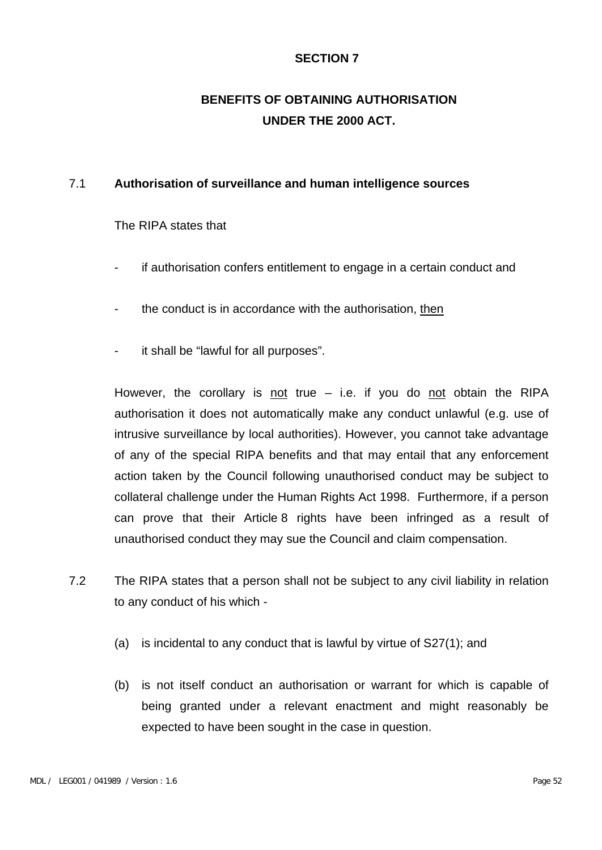## **BENEFITS OF OBTAINING AUTHORISATION UNDER THE 2000 ACT.**

#### 7.1 **Authorisation of surveillance and human intelligence sources**

The RIPA states that

- if authorisation confers entitlement to engage in a certain conduct and
- the conduct is in accordance with the authorisation, then
- it shall be "lawful for all purposes".

However, the corollary is not true  $-$  i.e. if you do not obtain the RIPA authorisation it does not automatically make any conduct unlawful (e.g. use of intrusive surveillance by local authorities). However, you cannot take advantage of any of the special RIPA benefits and that may entail that any enforcement action taken by the Council following unauthorised conduct may be subject to collateral challenge under the Human Rights Act 1998. Furthermore, if a person can prove that their Article 8 rights have been infringed as a result of unauthorised conduct they may sue the Council and claim compensation.

- 7.2 The RIPA states that a person shall not be subject to any civil liability in relation to any conduct of his which -
	- (a) is incidental to any conduct that is lawful by virtue of S27(1); and
	- (b) is not itself conduct an authorisation or warrant for which is capable of being granted under a relevant enactment and might reasonably be expected to have been sought in the case in question.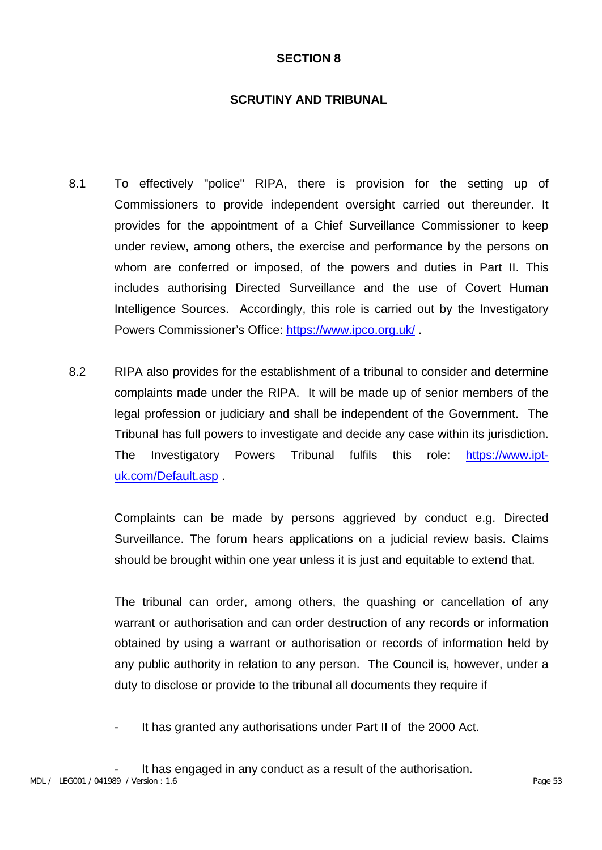### **SCRUTINY AND TRIBUNAL**

- 8.1 To effectively "police" RIPA, there is provision for the setting up of Commissioners to provide independent oversight carried out thereunder. It provides for the appointment of a Chief Surveillance Commissioner to keep under review, among others, the exercise and performance by the persons on whom are conferred or imposed, of the powers and duties in Part II. This includes authorising Directed Surveillance and the use of Covert Human Intelligence Sources. Accordingly, this role is carried out by the Investigatory Powers Commissioner's Office:<https://www.ipco.org.uk/> .
- 8.2 RIPA also provides for the establishment of a tribunal to consider and determine complaints made under the RIPA. It will be made up of senior members of the legal profession or judiciary and shall be independent of the Government. The Tribunal has full powers to investigate and decide any case within its jurisdiction. The Investigatory Powers Tribunal fulfils this role: [https://www.ipt](https://www.ipt-uk.com/Default.asp)[uk.com/Default.asp](https://www.ipt-uk.com/Default.asp) .

Complaints can be made by persons aggrieved by conduct e.g. Directed Surveillance. The forum hears applications on a judicial review basis. Claims should be brought within one year unless it is just and equitable to extend that.

The tribunal can order, among others, the quashing or cancellation of any warrant or authorisation and can order destruction of any records or information obtained by using a warrant or authorisation or records of information held by any public authority in relation to any person. The Council is, however, under a duty to disclose or provide to the tribunal all documents they require if

- It has granted any authorisations under Part II of the 2000 Act.
- It has engaged in any conduct as a result of the authorisation.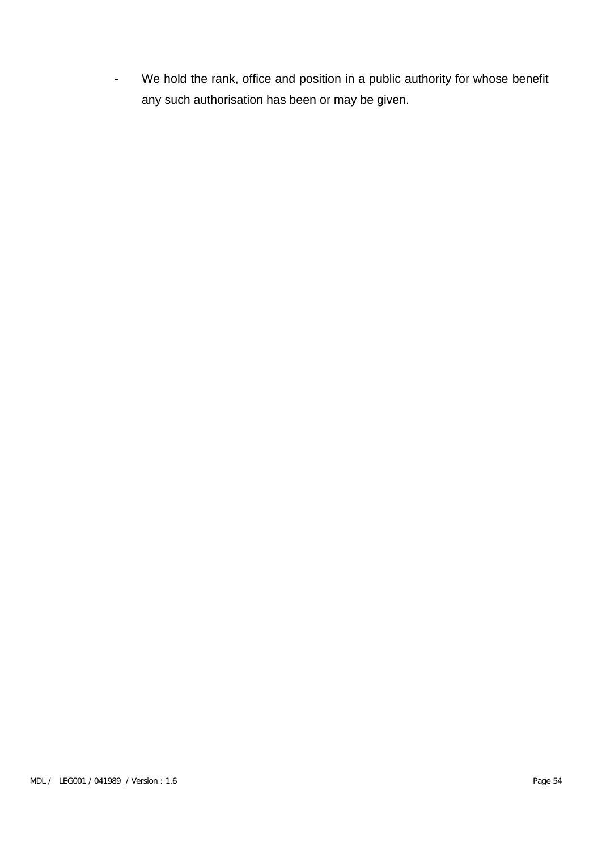- We hold the rank, office and position in a public authority for whose benefit any such authorisation has been or may be given.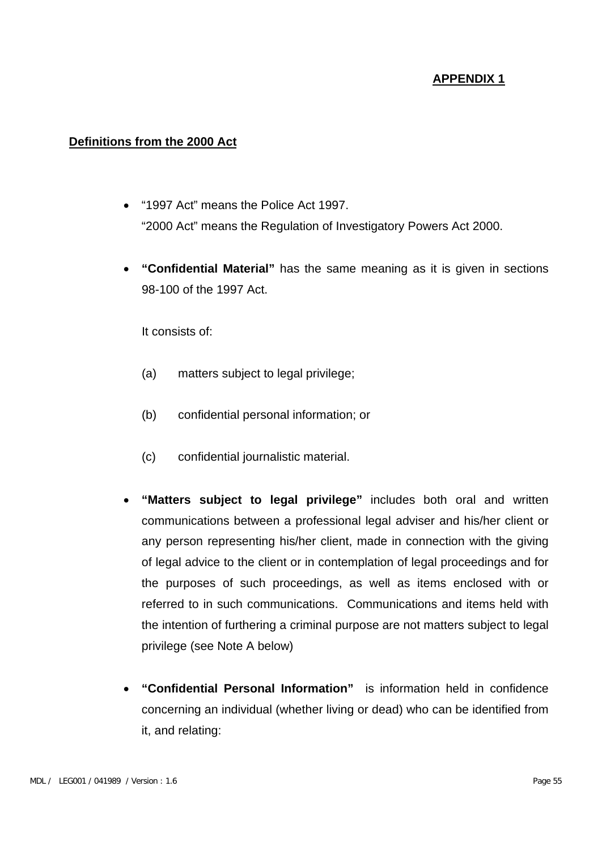#### **Definitions from the 2000 Act**

- "1997 Act" means the Police Act 1997. "2000 Act" means the Regulation of Investigatory Powers Act 2000.
- **"Confidential Material"** has the same meaning as it is given in sections 98-100 of the 1997 Act.

It consists of:

- (a) matters subject to legal privilege;
- (b) confidential personal information; or
- (c) confidential journalistic material.
- **"Matters subject to legal privilege"** includes both oral and written communications between a professional legal adviser and his/her client or any person representing his/her client, made in connection with the giving of legal advice to the client or in contemplation of legal proceedings and for the purposes of such proceedings, as well as items enclosed with or referred to in such communications. Communications and items held with the intention of furthering a criminal purpose are not matters subject to legal privilege (see Note A below)
- **"Confidential Personal Information"** is information held in confidence concerning an individual (whether living or dead) who can be identified from it, and relating: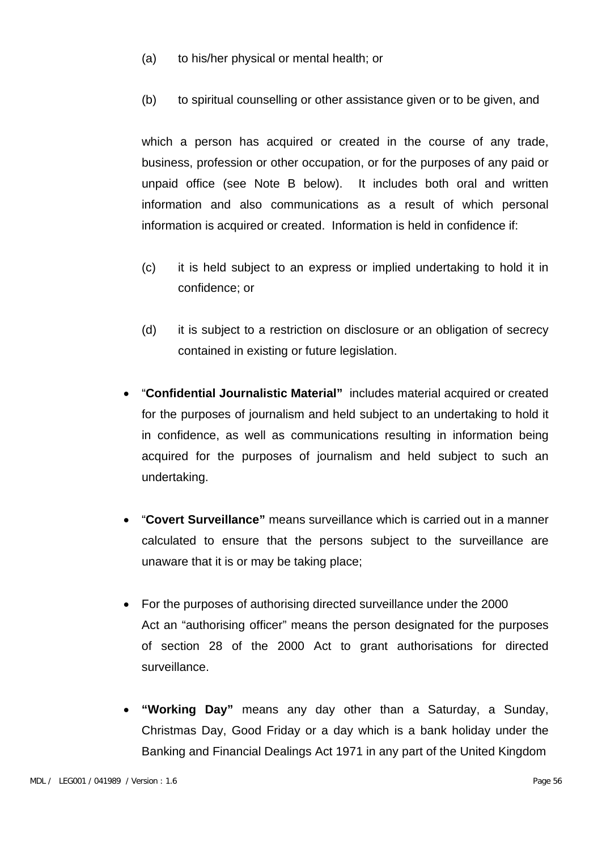- (a) to his/her physical or mental health; or
- (b) to spiritual counselling or other assistance given or to be given, and

which a person has acquired or created in the course of any trade, business, profession or other occupation, or for the purposes of any paid or unpaid office (see Note B below). It includes both oral and written information and also communications as a result of which personal information is acquired or created. Information is held in confidence if:

- (c) it is held subject to an express or implied undertaking to hold it in confidence; or
- (d) it is subject to a restriction on disclosure or an obligation of secrecy contained in existing or future legislation.
- "**Confidential Journalistic Material"** includes material acquired or created for the purposes of journalism and held subject to an undertaking to hold it in confidence, as well as communications resulting in information being acquired for the purposes of journalism and held subject to such an undertaking.
- "**Covert Surveillance"** means surveillance which is carried out in a manner calculated to ensure that the persons subject to the surveillance are unaware that it is or may be taking place;
- For the purposes of authorising directed surveillance under the 2000 Act an "authorising officer" means the person designated for the purposes of section 28 of the 2000 Act to grant authorisations for directed surveillance.
- **"Working Day"** means any day other than a Saturday, a Sunday, Christmas Day, Good Friday or a day which is a bank holiday under the Banking and Financial Dealings Act 1971 in any part of the United Kingdom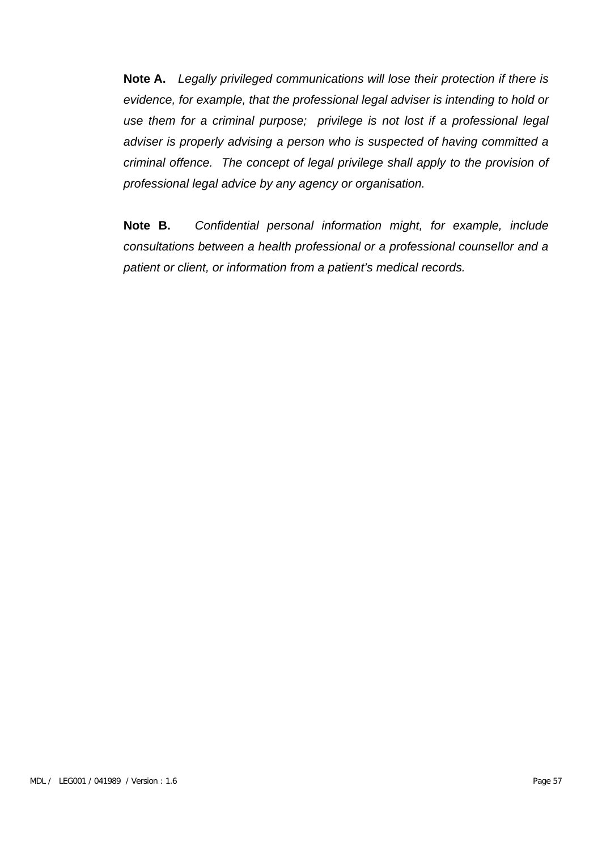**Note A.** *Legally privileged communications will lose their protection if there is evidence, for example, that the professional legal adviser is intending to hold or use them for a criminal purpose; privilege is not lost if a professional legal adviser is properly advising a person who is suspected of having committed a criminal offence. The concept of legal privilege shall apply to the provision of professional legal advice by any agency or organisation.*

**Note B.** *Confidential personal information might, for example, include consultations between a health professional or a professional counsellor and a patient or client, or information from a patient's medical records.*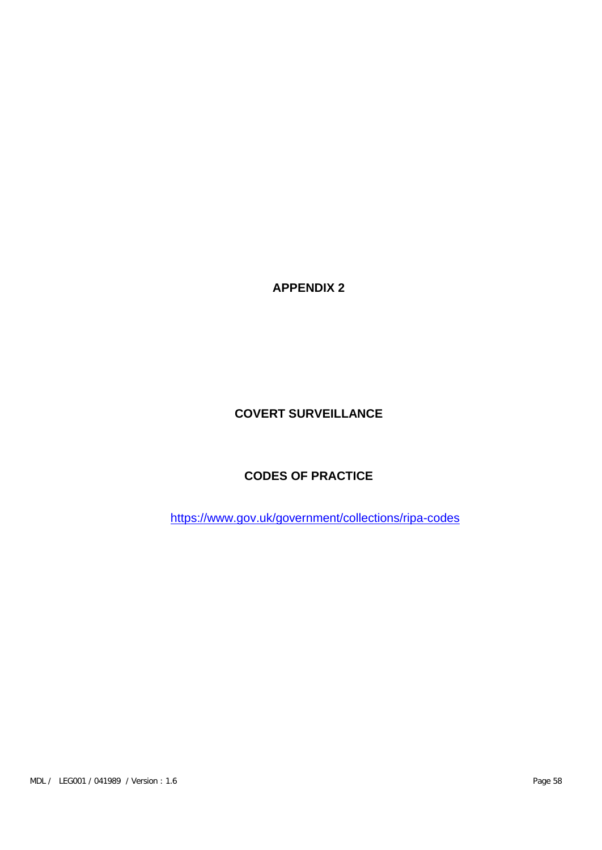## **COVERT SURVEILLANCE**

## **CODES OF PRACTICE**

https://www.gov.uk/government/collections/ripa-codes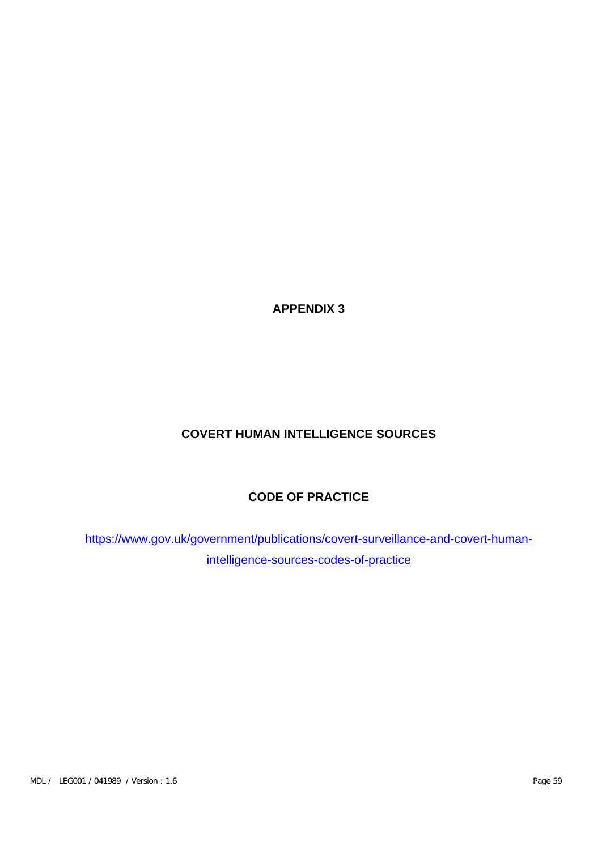## **COVERT HUMAN INTELLIGENCE SOURCES**

## **CODE OF PRACTICE**

[https://www.gov.uk/government/publications/covert-surveillance-and-covert-human](https://www.gov.uk/government/publications/covert-surveillance-and-covert-human-intelligence-sources-codes-of-practice)[intelligence-sources-codes-of-practice](https://www.gov.uk/government/publications/covert-surveillance-and-covert-human-intelligence-sources-codes-of-practice)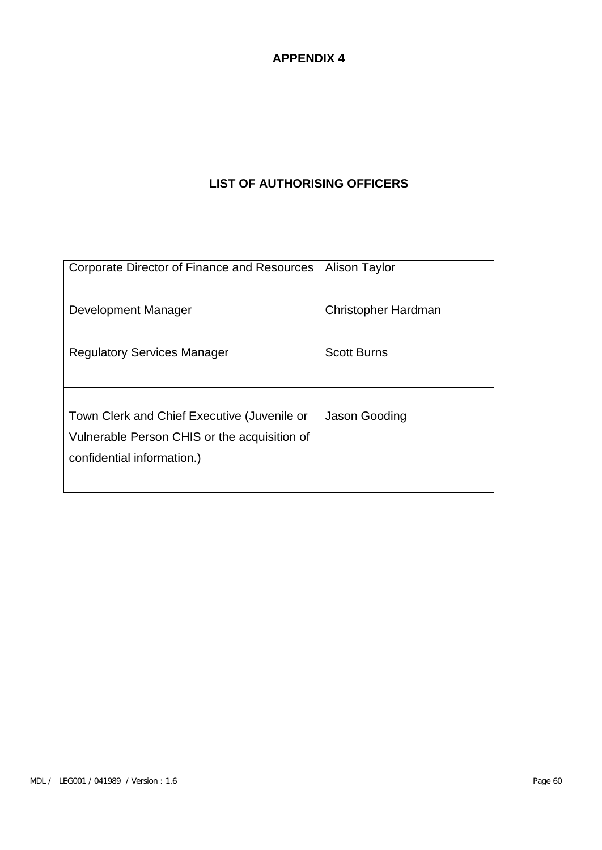## **LIST OF AUTHORISING OFFICERS**

| Corporate Director of Finance and Resources                                                                               | <b>Alison Taylor</b> |
|---------------------------------------------------------------------------------------------------------------------------|----------------------|
| Development Manager                                                                                                       | Christopher Hardman  |
| <b>Regulatory Services Manager</b>                                                                                        | <b>Scott Burns</b>   |
| Town Clerk and Chief Executive (Juvenile or<br>Vulnerable Person CHIS or the acquisition of<br>confidential information.) | Jason Gooding        |